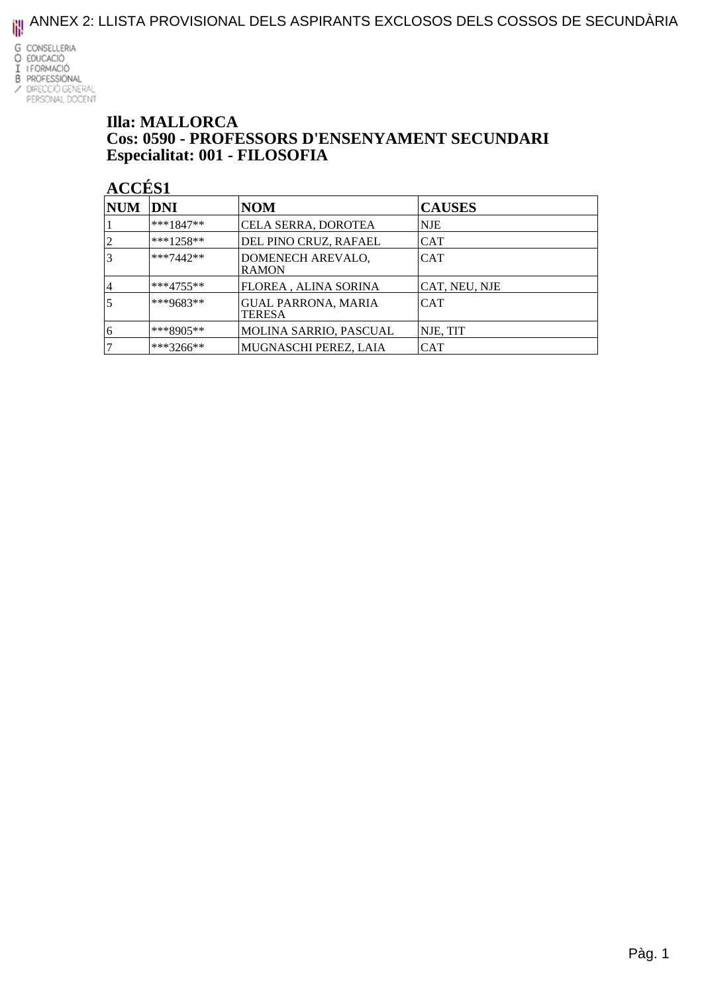ANNEX 2: LLISTA PROVISIONAL DELS ASPIRANTS EXCLOSOS DELS COSSOS DE SECUNDÀRIA



#### **Illa: MALLORCA** Cos: 0590 - PROFESSORS D'ENSENYAMENT SECUNDARI Especialitat: 001 - FILOSOFIA

| <b>NUM</b> | DNI         | <b>NOM</b>                                  | <b>CAUSES</b> |
|------------|-------------|---------------------------------------------|---------------|
|            | $***1847**$ | CELA SERRA, DOROTEA                         | <b>NJE</b>    |
|            | $***1258**$ | DEL PINO CRUZ, RAFAEL                       | <b>CAT</b>    |
|            | $***7442**$ | DOMENECH AREVALO,<br><b>RAMON</b>           | <b>CAT</b>    |
| 4          | $***4755**$ | FLOREA, ALINA SORINA                        | CAT, NEU, NJE |
|            | $***9683**$ | <b>GUAL PARRONA, MARIA</b><br><b>TERESA</b> | <b>CAT</b>    |
| 16         | $***8905**$ | <b>MOLINA SARRIO, PASCUAL</b>               | NJE, TIT      |
|            | ***3266**   | MUGNASCHI PEREZ, LAIA                       | CAT           |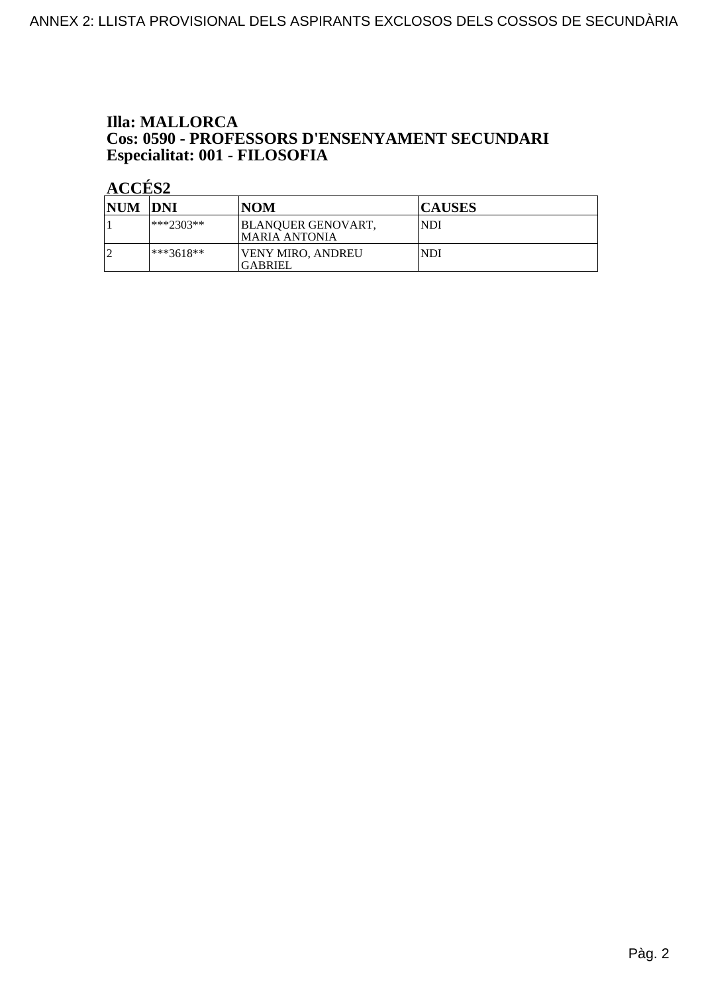### **Illa: MALLORCA Cos: 0590 - PROFESSORS D'ENSENYAMENT SECUNDARI<br>Especialitat: 001 - FILOSOFIA**

| NUM DNI |             | <b>NOM</b>                           | <b>CAUSES</b> |
|---------|-------------|--------------------------------------|---------------|
|         | $**2303**$  | BLANQUER GENOVART,<br>IMARIA ANTONIA | <b>NDI</b>    |
| n       | $***3618**$ | <b>VENY MIRO, ANDREU</b><br>IGABRIEL | <b>NDI</b>    |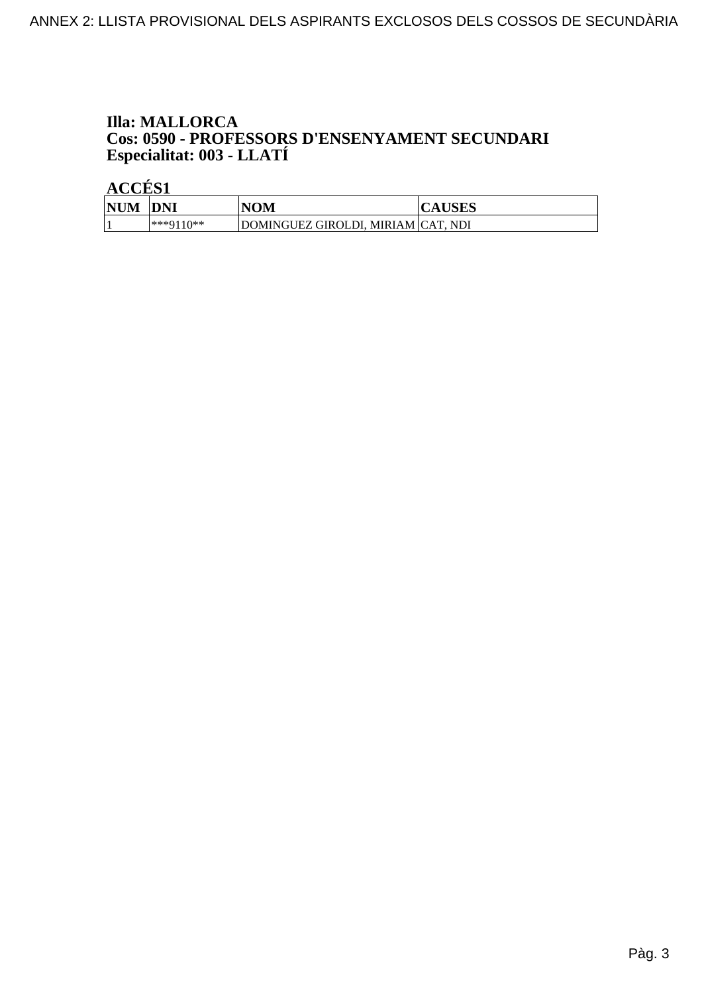### **Illa: MALLORCA Cos: 0590 - PROFESSORS D'ENSENYAMENT SECUNDARI<br>Especialitat: 003 - LLATÍ**

|            | .          |                                    |               |  |
|------------|------------|------------------------------------|---------------|--|
| <b>NUM</b> | <b>DNI</b> | NOM                                | <b>CAUSES</b> |  |
|            | ***0110**  | DOMINGUEZ GIROLDI, MIRIAM CAT, NDI |               |  |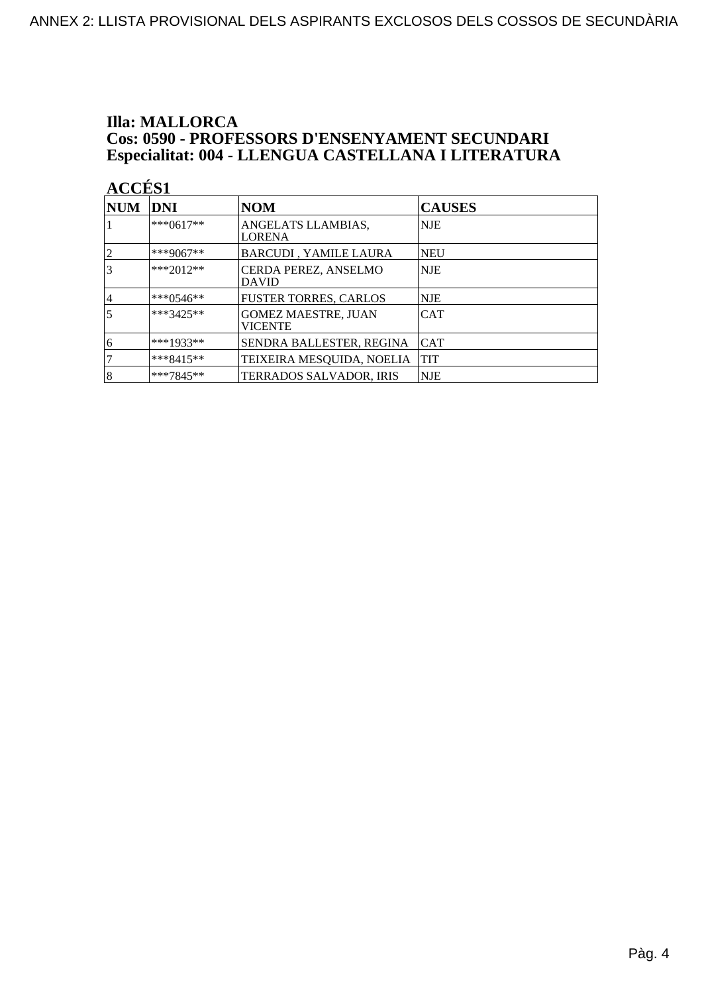#### **Illa: MALLORCA** Cos: 0590 - PROFESSORS D'ENSENYAMENT SECUNDARI Especialitat: 004 - LLENGUA CASTELLANA I LITERATURA

| <b>ACCÉS 1</b> |             |                                              |               |
|----------------|-------------|----------------------------------------------|---------------|
| $\bf NUM$      | <b>DNI</b>  | <b>NOM</b>                                   | <b>CAUSES</b> |
|                | $***0617**$ | ANGELATS LLAMBIAS,<br><b>LORENA</b>          | NJE           |
| 2              | ***9067**   | <b>BARCUDI, YAMILE LAURA</b>                 | NEU           |
|                | ***2012**   | CERDA PEREZ, ANSELMO<br><b>DAVID</b>         | <b>NJE</b>    |
| 4              | ***0546**   | <b>FUSTER TORRES, CARLOS</b>                 | NJE           |
|                | ***3425**   | <b>GOMEZ MAESTRE, JUAN</b><br><b>VICENTE</b> | CAT           |
| 6              | $***1933**$ | SENDRA BALLESTER, REGINA                     | <b>CAT</b>    |
|                | $***8415**$ | TEIXEIRA MESQUIDA, NOELIA                    | <b>TIT</b>    |
| 8              | $***7845**$ | TERRADOS SALVADOR, IRIS                      | NJE           |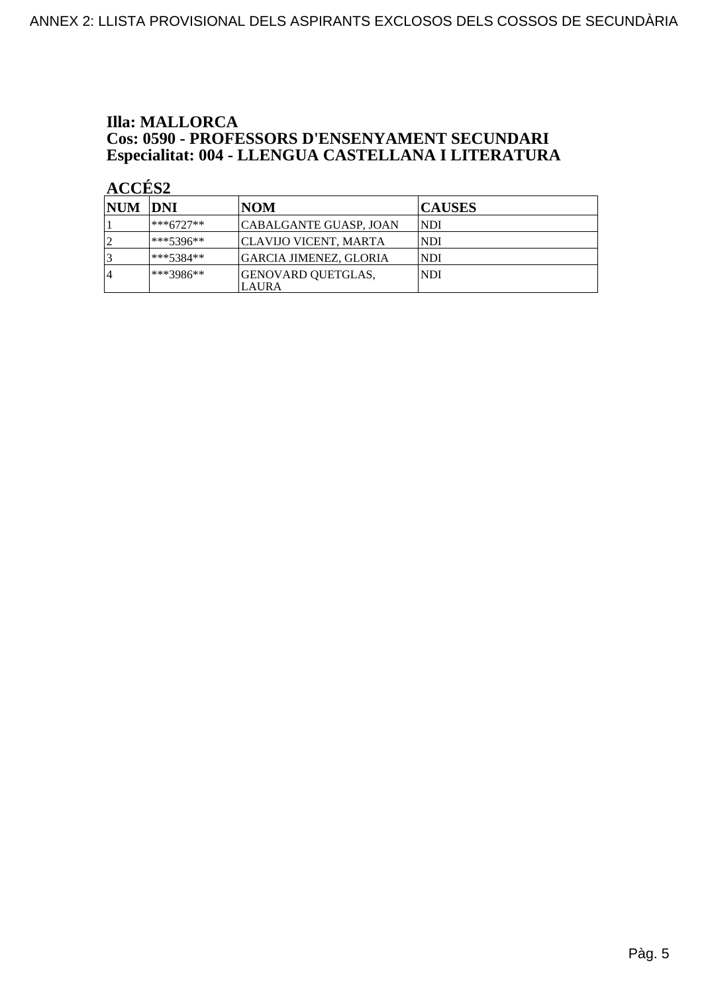### **Illa: MALLORCA Cos: 0590 - PROFESSORS D'ENSENYAMENT SECUNDARI<br>Especialitat: 004 - LLENGUA CASTELLANA I LITERATURA**

| <b>NUM DNI</b> |              | <b>NOM</b>                  | <b>CAUSES</b> |
|----------------|--------------|-----------------------------|---------------|
|                | ***6727**    | CABALGANTE GUASP, JOAN      | NDI           |
|                | $ ***5396**$ | CLAVIJO VICENT, MARTA       | <b>NDI</b>    |
|                | $***5384**$  | GARCIA JIMENEZ, GLORIA      | <b>NDI</b>    |
| 4              | ***3986**    | GENOVARD QUETGLAS,<br>LAURA | <b>NDI</b>    |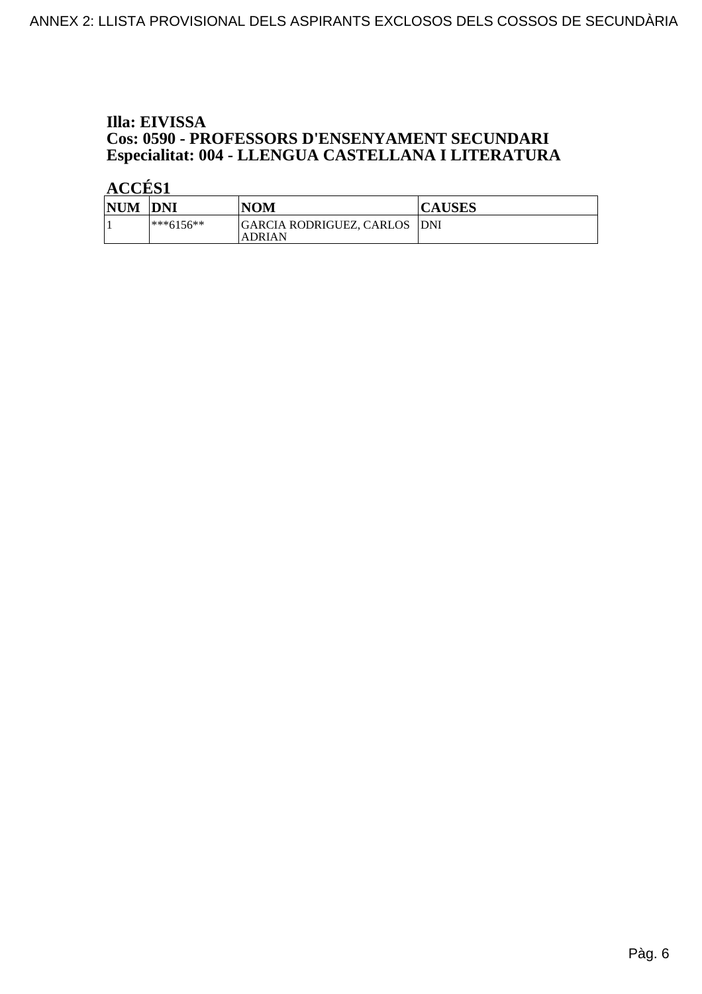#### Illa: EIVISSA **Cos: 0590 - PROFESSORS D'ENSENYAMENT SECUNDARI** Especialitat: 004 - LLENGUA CASTELLANA I LITERATURA

| <b>NUM</b> | <b>DNI</b>    | <b>NOM</b>                                     | <b>CAUSES</b> |
|------------|---------------|------------------------------------------------|---------------|
|            | $ ***6156***$ | GARCIA RODRIGUEZ, CARLOS  DNI<br><b>ADRIAN</b> |               |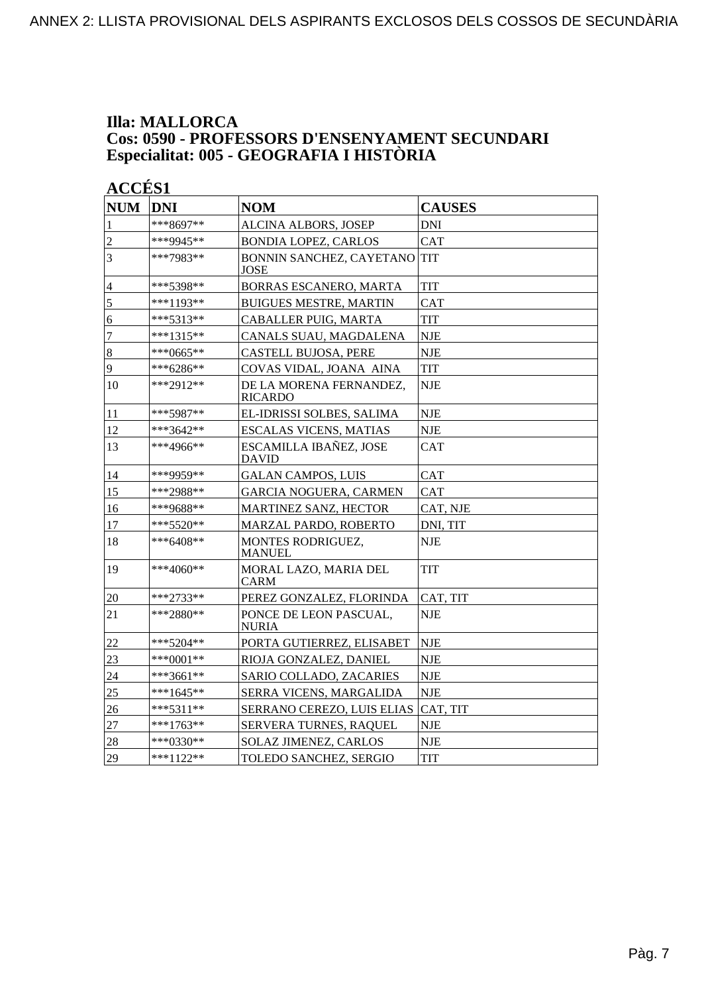#### **Illa: MALLORCA Cos: 0590 - PROFESSORS D'ENSENYAMENT SECUNDARI Especialitat: 005 - GEOGRAFIA I HISTÒRIA**

| <b>NUM</b>     | <b>DNI</b>  | <b>NOM</b>                                | <b>CAUSES</b> |
|----------------|-------------|-------------------------------------------|---------------|
| 1              | ***8697**   | ALCINA ALBORS, JOSEP                      | <b>DNI</b>    |
| $\overline{c}$ | ***9945**   | <b>BONDIA LOPEZ, CARLOS</b>               | <b>CAT</b>    |
| $\overline{3}$ | ***7983**   | BONNIN SANCHEZ, CAYETANO<br>JOSE          | <b>TIT</b>    |
| $\overline{4}$ | ***5398**   | BORRAS ESCANERO, MARTA                    | <b>TIT</b>    |
| 5              | ***1193**   | <b>BUIGUES MESTRE, MARTIN</b>             | <b>CAT</b>    |
| $\overline{6}$ | ***5313**   | CABALLER PUIG, MARTA                      | <b>TIT</b>    |
| $\overline{7}$ | ***1315**   | CANALS SUAU, MAGDALENA                    | <b>NJE</b>    |
| $\bf 8$        | ***0665**   | <b>CASTELL BUJOSA, PERE</b>               | <b>NJE</b>    |
| 9              | ***6286**   | COVAS VIDAL, JOANA AINA                   | <b>TIT</b>    |
| 10             | $***2912**$ | DE LA MORENA FERNANDEZ,<br><b>RICARDO</b> | <b>NJE</b>    |
| 11             | ***5987**   | EL-IDRISSI SOLBES, SALIMA                 | <b>NJE</b>    |
| 12             | ***3642**   | <b>ESCALAS VICENS, MATIAS</b>             | <b>NJE</b>    |
| 13             | ***4966**   | ESCAMILLA IBAÑEZ, JOSE<br><b>DAVID</b>    | <b>CAT</b>    |
| 14             | ***9959**   | <b>GALAN CAMPOS, LUIS</b>                 | <b>CAT</b>    |
| 15             | ***2988**   | <b>GARCIA NOGUERA, CARMEN</b>             | <b>CAT</b>    |
| 16             | ***9688**   | MARTINEZ SANZ, HECTOR                     | CAT, NJE      |
| 17             | *** 5520**  | MARZAL PARDO, ROBERTO                     | DNI, TIT      |
| 18             | $***6408**$ | MONTES RODRIGUEZ,<br><b>MANUEL</b>        | <b>NJE</b>    |
| 19             | ***4060**   | MORAL LAZO, MARIA DEL<br><b>CARM</b>      | TIT           |
| 20             | ***2733**   | PEREZ GONZALEZ, FLORINDA                  | CAT, TIT      |
| 21             | ***2880**   | PONCE DE LEON PASCUAL,<br><b>NURIA</b>    | <b>NJE</b>    |
| $22\,$         | $***5204**$ | PORTA GUTIERREZ, ELISABET                 | <b>NJE</b>    |
| 23             | $***0001**$ | RIOJA GONZALEZ, DANIEL                    | <b>NJE</b>    |
| 24             | ***3661**   | SARIO COLLADO, ZACARIES                   | <b>NJE</b>    |
| 25             | ***1645**   | SERRA VICENS, MARGALIDA                   | <b>NJE</b>    |
| 26             | ***5311**   | SERRANO CEREZO, LUIS ELIAS                | CAT, TIT      |
| 27             | ***1763**   | SERVERA TURNES, RAQUEL                    | <b>NJE</b>    |
| 28             | ***0330**   | <b>SOLAZ JIMENEZ, CARLOS</b>              | <b>NJE</b>    |
| 29             | ***1122**   | TOLEDO SANCHEZ, SERGIO                    | <b>TIT</b>    |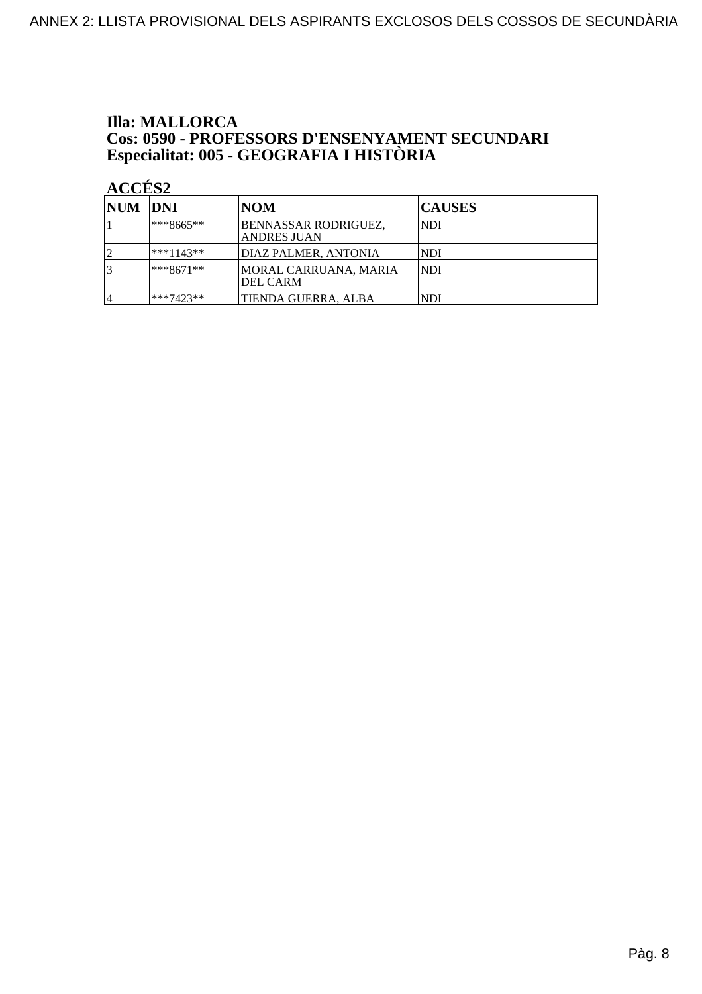### **Illa: MALLORCA Cos: 0590 - PROFESSORS D'ENSENYAMENT SECUNDARI<br>Especialitat: 005 - GEOGRAFIA I HISTÒRIA**

| NUM DNI |              | <b>NOM</b>                                 | <b>CAUSES</b> |
|---------|--------------|--------------------------------------------|---------------|
|         | $***8665**$  | BENNASSAR RODRIGUEZ,<br><b>ANDRES JUAN</b> | <b>NDI</b>    |
|         | $ ***1143**$ | <b>DIAZ PALMER, ANTONIA</b>                | <b>NDI</b>    |
|         | $ ***8671**$ | MORAL CARRUANA, MARIA<br><b>DEL CARM</b>   | <b>NDI</b>    |
| 4       | ***7423**    | TIENDA GUERRA, ALBA                        | NDI           |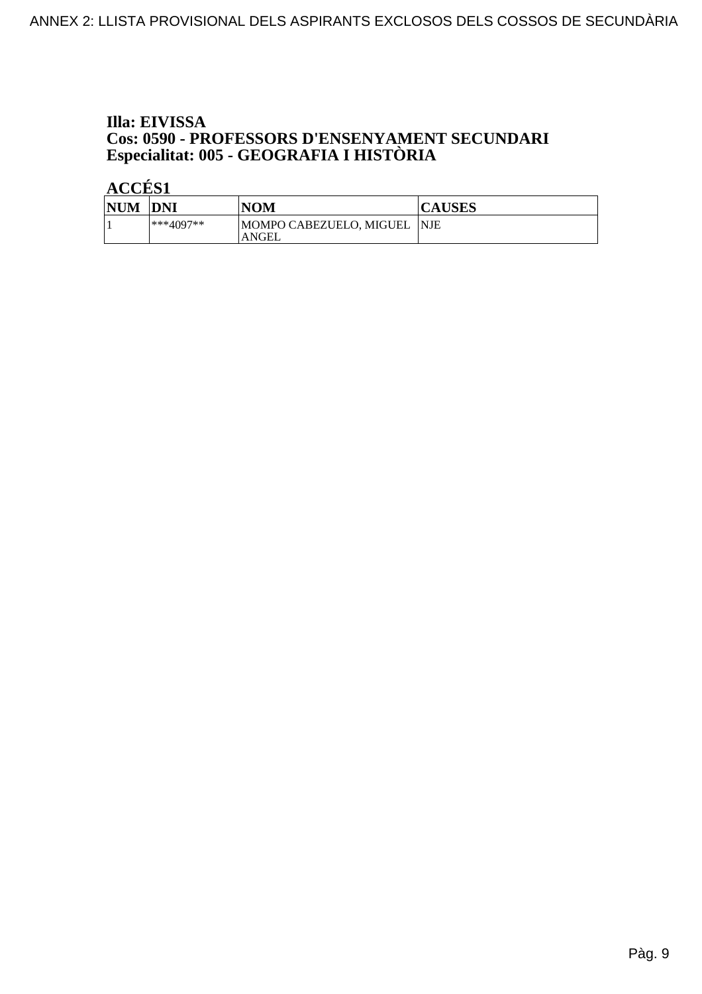### Illa: EIVISSA **Cos: 0590 - PROFESSORS D'ENSENYAMENT SECUNDARI<br>Especialitat: 005 - GEOGRAFIA I HISTÒRIA**

| <b>NUM</b> | <b>DNI</b>  | NOM                                   | <b>CAUSES</b> |
|------------|-------------|---------------------------------------|---------------|
|            | $***4097**$ | MOMPO CABEZUELO, MIGUEL  NJE<br>ANGEL |               |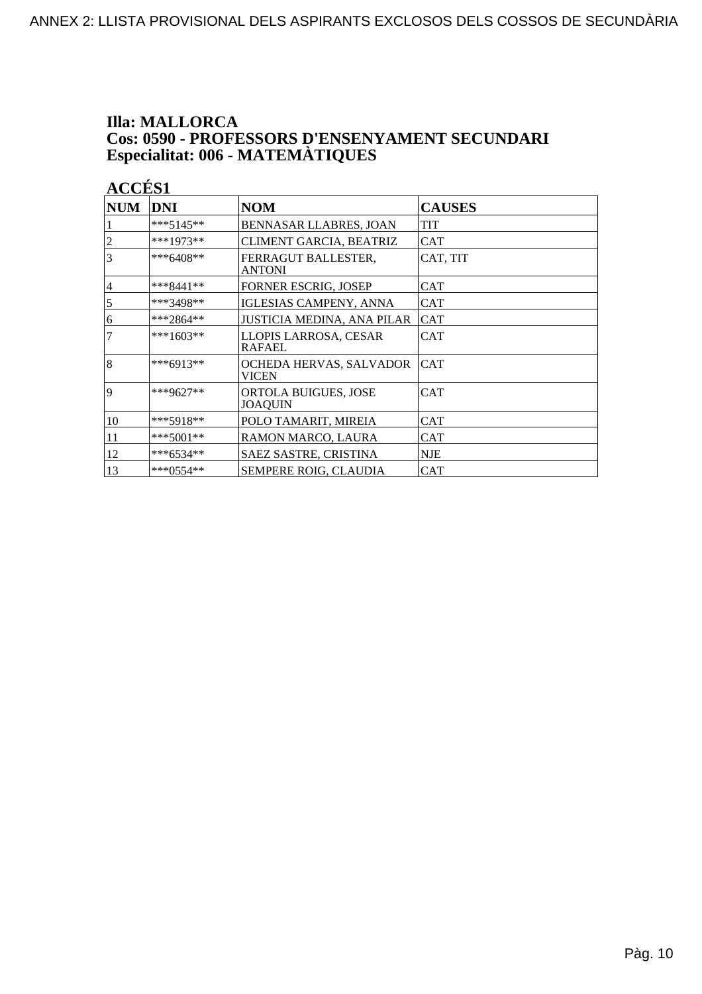### **Illa: MALLORCA Cos: 0590 - PROFESSORS D'ENSENYAMENT SECUNDARI<br>Especialitat: 006 - MATEMÀTIQUES**

| <b>NUM</b>     | DNI         | <b>NOM</b>                              | <b>CAUSES</b> |
|----------------|-------------|-----------------------------------------|---------------|
|                | ***5145**   | BENNASAR LLABRES, JOAN                  | TIT           |
| $\overline{c}$ | ***1973**   | CLIMENT GARCIA, BEATRIZ                 | <b>CAT</b>    |
| 3              | ***6408**   | FERRAGUT BALLESTER,<br><b>ANTONI</b>    | CAT, TIT      |
| 4              | $***8441**$ | FORNER ESCRIG, JOSEP                    | CAT           |
| 5              | ***3498**   | IGLESIAS CAMPENY, ANNA                  | CAT           |
| 6              | ***2864**   | JUSTICIA MEDINA, ANA PILAR              | <b>CAT</b>    |
| $\overline{7}$ | $***1603**$ | LLOPIS LARROSA, CESAR<br>RAFAEL         | <b>CAT</b>    |
| 8              | ***6913**   | OCHEDA HERVAS, SALVADOR<br><b>VICEN</b> | <b>CAT</b>    |
| 9              | ***9627**   | ORTOLA BUIGUES, JOSE<br>JOAQUIN         | <b>CAT</b>    |
| 10             | $***5918**$ | POLO TAMARIT, MIREIA                    | <b>CAT</b>    |
| 11             | $***5001**$ | RAMON MARCO, LAURA                      | <b>CAT</b>    |
| 12             | ***6534**   | SAEZ SASTRE, CRISTINA                   | <b>NJE</b>    |
| 13             | $***0554**$ | SEMPERE ROIG, CLAUDIA                   | <b>CAT</b>    |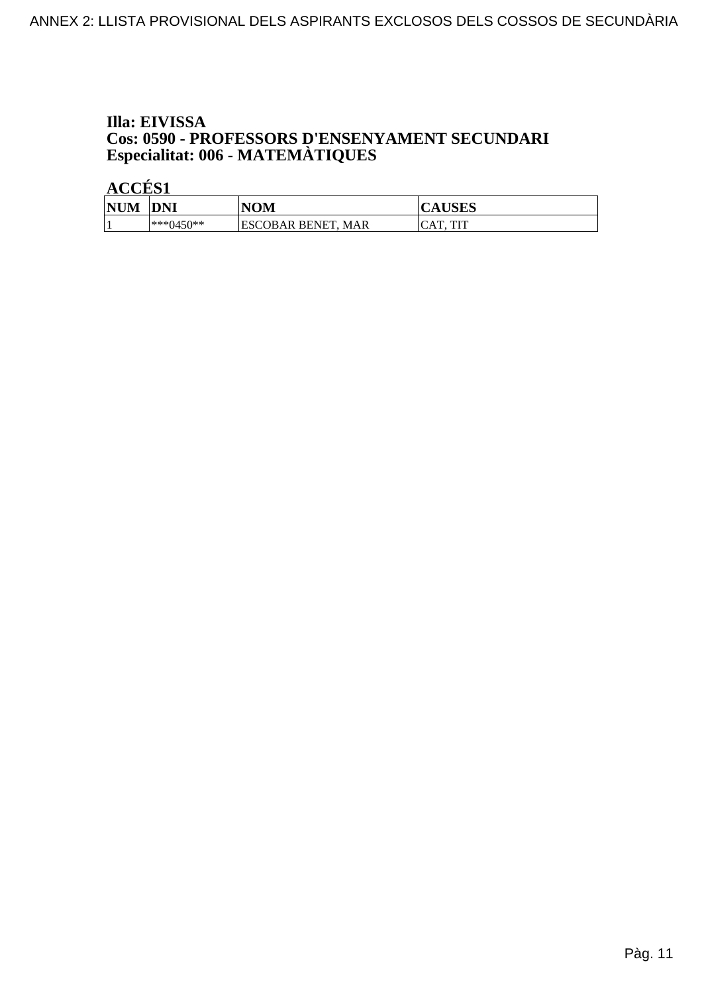# Illa: EIVISSA **Cos: 0590 - PROFESSORS D'ENSENYAMENT SECUNDARI<br>Especialitat: 006 - MATEMÀTIQUES**

| <b>NHM</b><br>M | <b>DNI</b>   | NOM                                  | TICITC<br>Δ<br>AUSLS       |
|-----------------|--------------|--------------------------------------|----------------------------|
|                 | $1***0450**$ | IESCOBAR BENET.<br><b>MAR</b><br>. L | TIT<br>$\sqrt{2}$<br><br>ິ |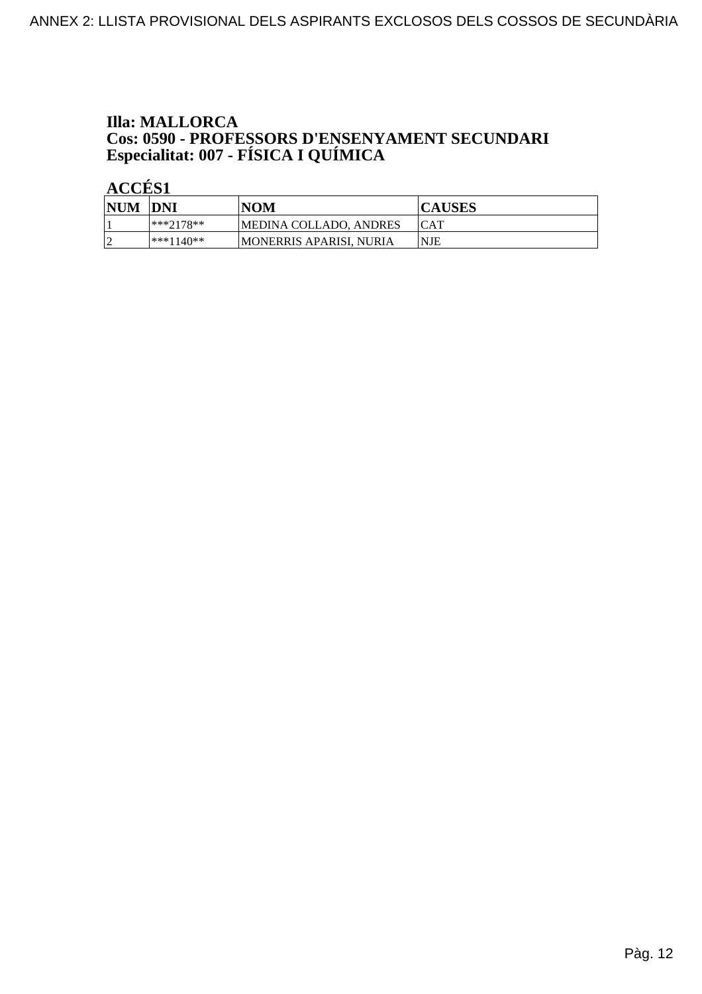### **Illa: MALLORCA Cos: 0590 - PROFESSORS D'ENSENYAMENT SECUNDARI<br>Especialitat: 007 - FÍSICA I QUÍMICA**

| <b>NUM</b> | <b>IDNI</b> | <b>NOM</b>               | <b>CAUSES</b> |
|------------|-------------|--------------------------|---------------|
|            | $***7178**$ | MEDINA COLLADO, ANDRES   | <b>ICAT</b>   |
|            | $***1140**$ | IMONERRIS APARISI. NURIA | <b>NJE</b>    |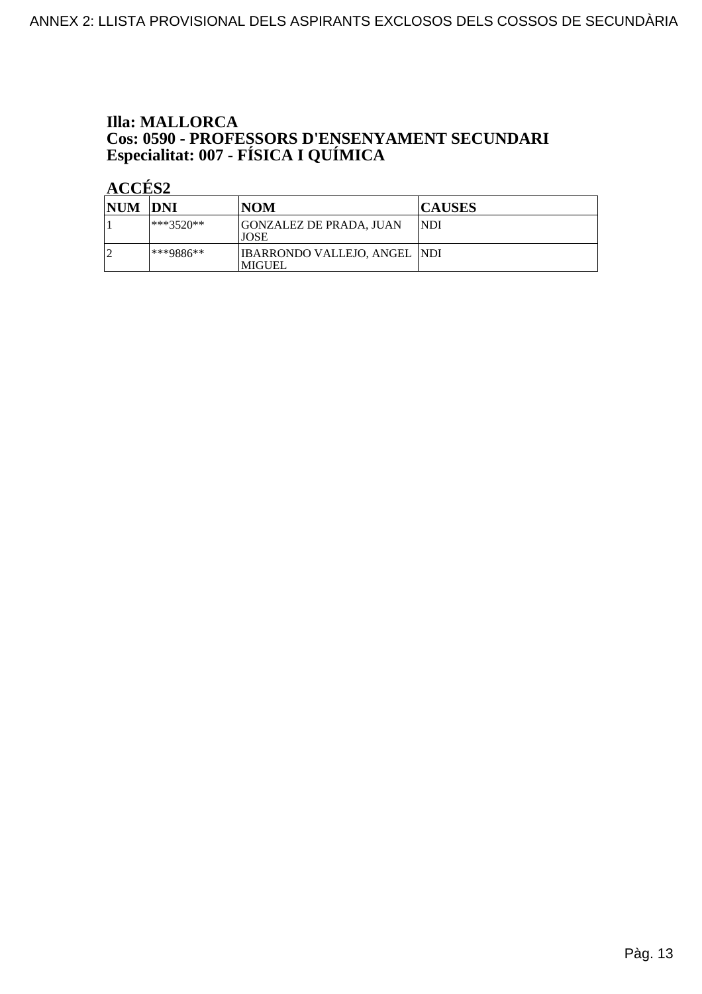# **Illa: MALLORCA Cos: 0590 - PROFESSORS D'ENSENYAMENT SECUNDARI<br>Especialitat: 007 - FÍSICA I QUÍMICA**

| NUM DNI |              | <b>NOM</b>                                    | <b>CAUSES</b> |
|---------|--------------|-----------------------------------------------|---------------|
|         | $*$ **3520** | <b>GONZALEZ DE PRADA, JUAN</b><br><b>JOSE</b> | NDI           |
|         | ***9886**    | IBARRONDO VALLEJO, ANGEL  NDI<br> MIGUEL      |               |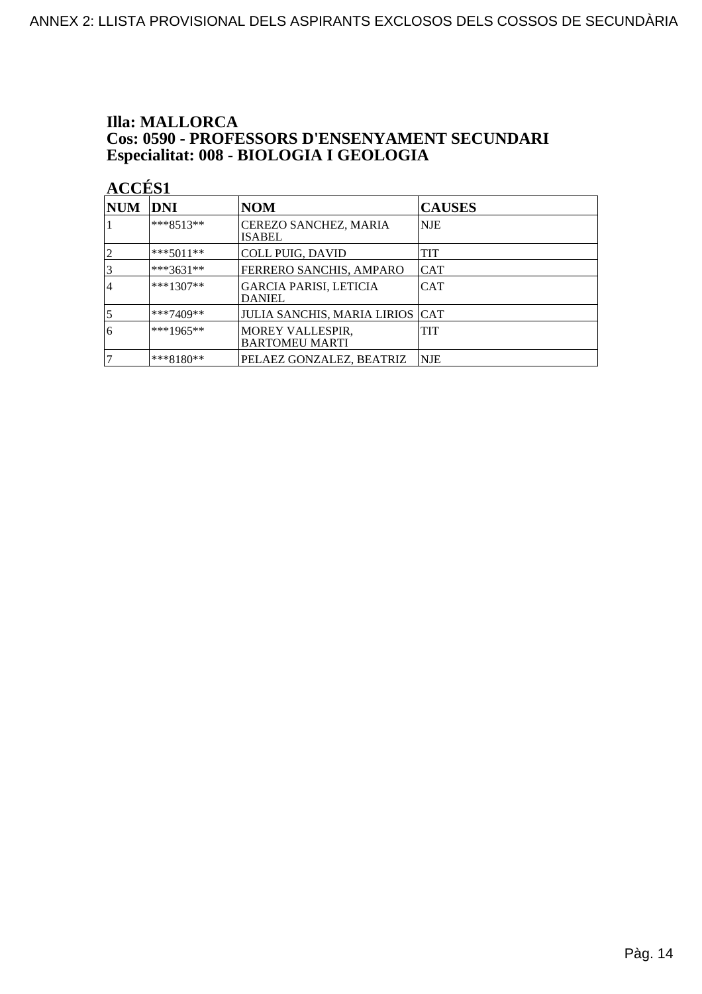### **Illa: MALLORCA Cos: 0590 - PROFESSORS D'ENSENYAMENT SECUNDARI<br>Especialitat: 008 - BIOLOGIA I GEOLOGIA**

| <b>NUM</b>      | DNI         | <b>NOM</b>                                     | <b>CAUSES</b> |
|-----------------|-------------|------------------------------------------------|---------------|
|                 | $***8513**$ | CEREZO SANCHEZ, MARIA<br><b>ISABEL</b>         | NJE           |
| 2               | $***5011**$ | <b>COLL PUIG, DAVID</b>                        | TIT           |
| $\vert 3 \vert$ | ***3631**   | FERRERO SANCHIS, AMPARO                        | <b>CAT</b>    |
| 4               | $***1307**$ | <b>GARCIA PARISI, LETICIA</b><br><b>DANIEL</b> | <b>CAT</b>    |
| 5               | ***7409**   | <b>JULIA SANCHIS, MARIA LIRIOS CAT</b>         |               |
| 6               | $***1965**$ | MOREY VALLESPIR,<br><b>BARTOMEU MARTI</b>      | TIT           |
| 7               | ***8180**   | PELAEZ GONZALEZ, BEATRIZ                       | <b>NJE</b>    |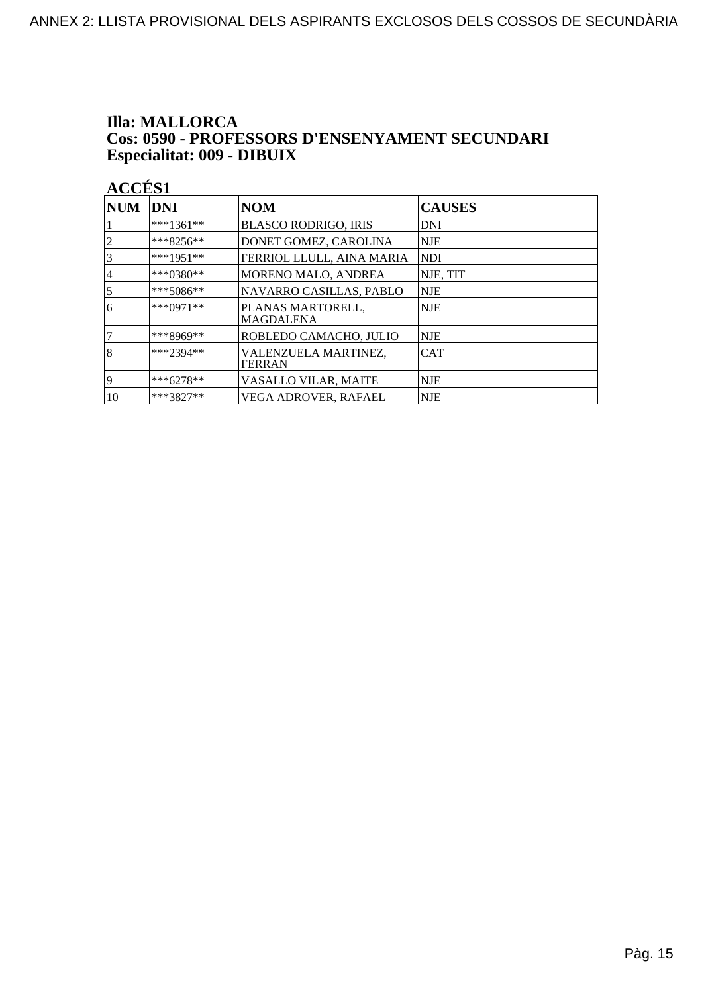#### **Illa: MALLORCA** Cos: 0590 - PROFESSORS D'ENSENYAMENT SECUNDARI Especialitat: 009 - DIBUIX

| <b>NUM</b>     | DNI         | <b>NOM</b>                            | <b>CAUSES</b> |
|----------------|-------------|---------------------------------------|---------------|
|                | ***1361**   | <b>BLASCO RODRIGO, IRIS</b>           | DNI           |
| $\overline{c}$ | ***8256**   | DONET GOMEZ, CAROLINA                 | NJE           |
| 3              | ***1951**   | FERRIOL LLULL, AINA MARIA             | NDI           |
| 4              | ***0380**   | MORENO MALO, ANDREA                   | NJE, TIT      |
| $\overline{5}$ | $***5086**$ | NAVARRO CASILLAS, PABLO               | NJE           |
| 6              | $***0971**$ | PLANAS MARTORELL,<br><b>MAGDALENA</b> | <b>NJE</b>    |
|                | ***8969**   | ROBLEDO CAMACHO, JULIO                | NJE           |
| 8              | $***2394**$ | VALENZUELA MARTINEZ.<br>FERRAN        | <b>CAT</b>    |
| 9              | ***6278**   | VASALLO VILAR, MAITE                  | <b>NJE</b>    |
| 10             | ***3827**   | VEGA ADROVER, RAFAEL                  | <b>NJE</b>    |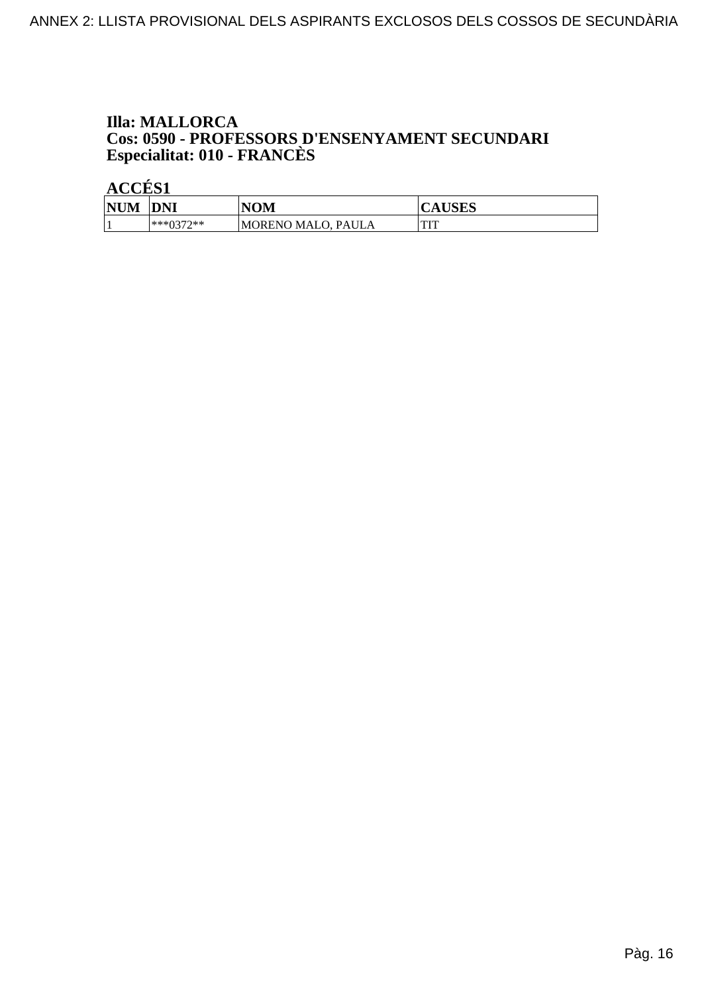### **Illa: MALLORCA Cos: 0590 - PROFESSORS D'ENSENYAMENT SECUNDARI<br>Especialitat: 010 - FRANCÈS**

| <b>NUM</b> | <b>DNI</b> | NOM                | LIGEC<br>K<br>AUSLS |
|------------|------------|--------------------|---------------------|
|            | ***0370**  | MORENO MALO, PAULA | <b>THT</b><br>      |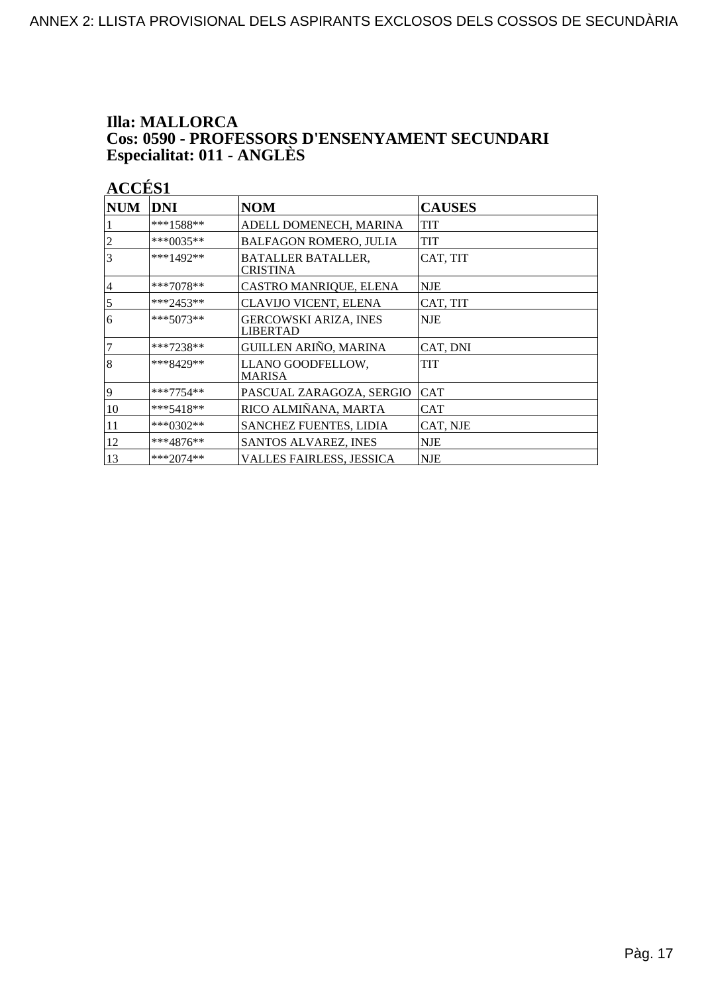### **Illa: MALLORCA Cos: 0590 - PROFESSORS D'ENSENYAMENT SECUNDARI<br>Especialitat: 011 - ANGLÈS**

| <b>NUM</b>     | DNI         | <b>NOM</b>                                      | <b>CAUSES</b> |
|----------------|-------------|-------------------------------------------------|---------------|
|                | ***1588**   | ADELL DOMENECH, MARINA                          | <b>TIT</b>    |
| $\overline{c}$ | ***0035**   | <b>BALFAGON ROMERO, JULIA</b>                   | <b>TIT</b>    |
| 3              | $***1492**$ | <b>BATALLER BATALLER,</b><br><b>CRISTINA</b>    | CAT, TIT      |
| $\overline{4}$ | $***7078**$ | CASTRO MANRIQUE, ELENA                          | <b>NJE</b>    |
| 5              | ***2453**   | CLAVIJO VICENT, ELENA                           | CAT, TIT      |
| 6              | $***5073**$ | <b>GERCOWSKI ARIZA, INES</b><br><b>LIBERTAD</b> | <b>NJE</b>    |
| $\overline{7}$ | ***7238**   | GUILLEN ARIÑO, MARINA                           | CAT, DNI      |
| 8              | ***8429**   | LLANO GOODFELLOW,<br>MARISA                     | TIT           |
| 9              | ***7754**   | PASCUAL ZARAGOZA, SERGIO                        | <b>CAT</b>    |
| 10             | ***5418**   | RICO ALMIÑANA, MARTA                            | CAT           |
| 11             | ***0302**   | <b>SANCHEZ FUENTES, LIDIA</b>                   | CAT, NJE      |
| 12             | ***4876**   | SANTOS ALVAREZ, INES                            | <b>NJE</b>    |
| 13             | ***2074**   | VALLES FAIRLESS, JESSICA                        | <b>NJE</b>    |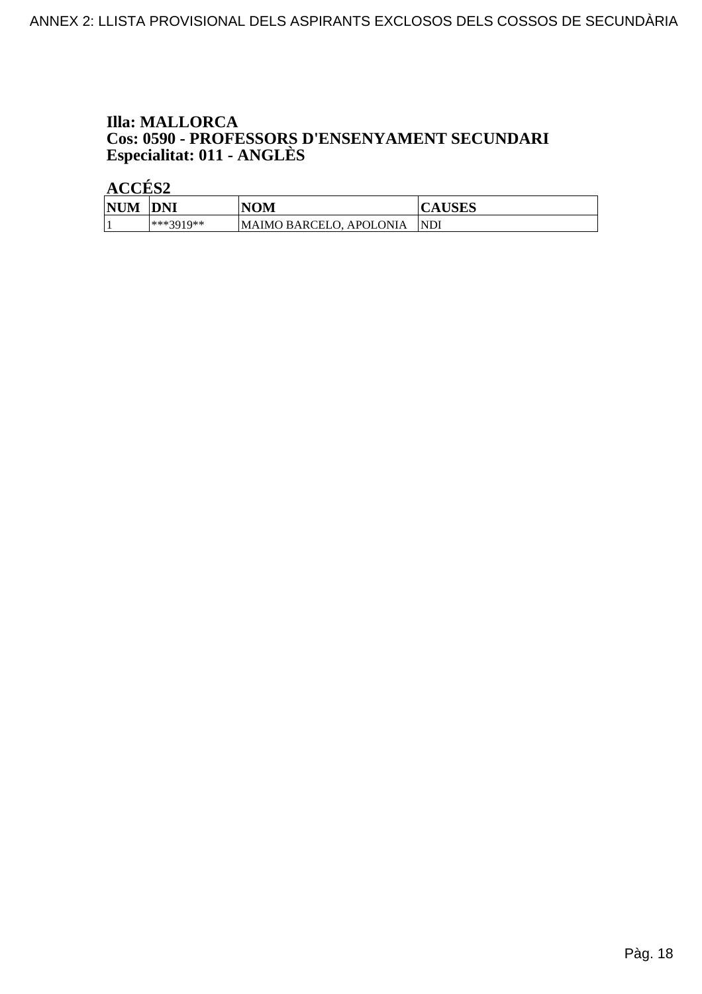### **Illa: MALLORCA Cos: 0590 - PROFESSORS D'ENSENYAMENT SECUNDARI<br>Especialitat: 011 - ANGLÈS**

| <b>NUM</b> | <b>DNI</b> | NOM                     | <b>CAUSES</b> |
|------------|------------|-------------------------|---------------|
|            | ***3010**  | MAIMO BARCELO, APOLONIA | NDI           |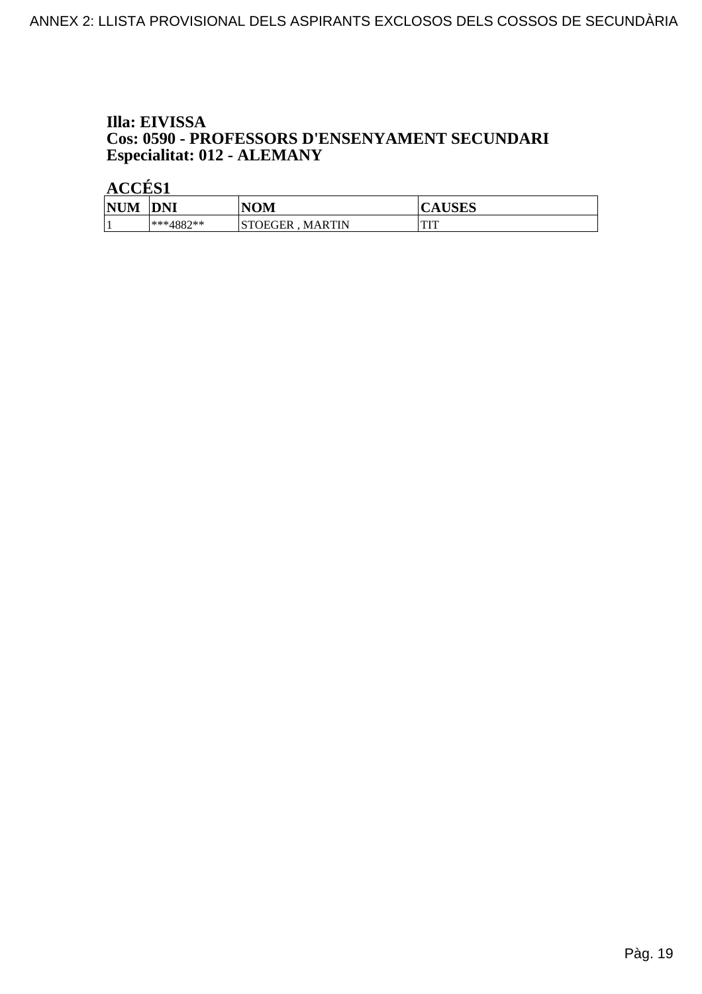#### Illa: EIVISSA Cos: 0590 - PROFESSORS D'ENSENYAMENT SECUNDARI Especialitat: 012 - ALEMANY

| NHM<br>'N | <b>DNI</b> | NOM                             | <b>TICEC</b><br>л<br>CAUSLS |
|-----------|------------|---------------------------------|-----------------------------|
|           | ***4882**  | <b>STOEGER</b><br><b>MARTIN</b> | <b>COLOR</b><br>            |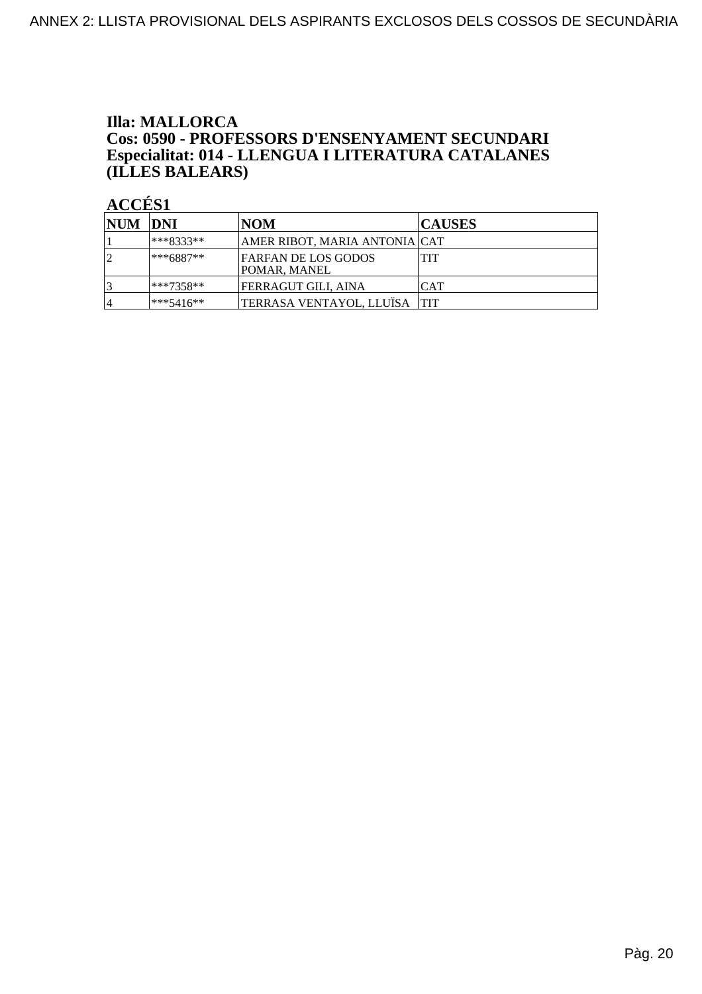#### **Illa: MALLORCA** Cos: 0590 - PROFESSORS D'ENSENYAMENT SECUNDARI Especialitat: 014 - LLENGUA I LITERATURA CATALANES (ILLES BALEARS)

| <b>NUM DNI</b> |             | NOM                                 | <b>CAUSES</b> |
|----------------|-------------|-------------------------------------|---------------|
|                | ***8333**   | AMER RIBOT, MARIA ANTONIA   CAT     |               |
|                | ***6887**   | FARFAN DE LOS GODOS<br>POMAR, MANEL | TIT           |
|                | ***7358**   | FERRAGUT GILI, AINA                 | <b>CAT</b>    |
| $\overline{4}$ | $***5416**$ | TERRASA VENTAYOL, LLUÏSA TIT        |               |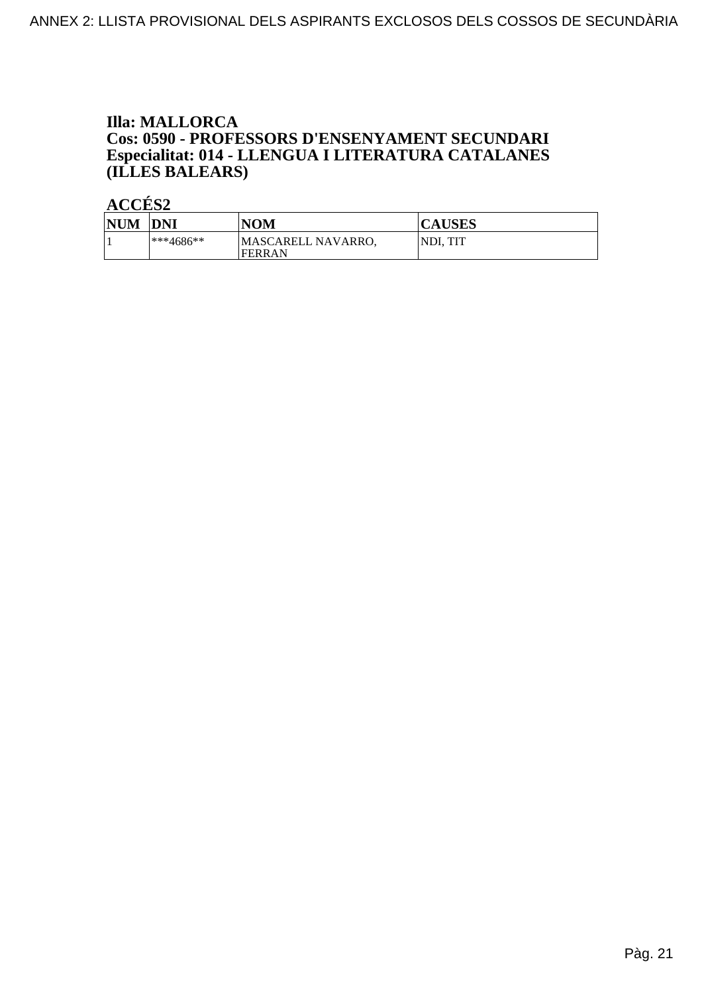#### **Illa: MALLORCA** Cos: 0590 - PROFESSORS D'ENSENYAMENT SECUNDARI Especialitat: 014 - LLENGUA I LITERATURA CATALANES (ILLES BALEARS)

| <b>NUM</b> | <b>DNI</b> | <b>NOM</b>                   | <b>CAUSES</b> |
|------------|------------|------------------------------|---------------|
|            | ***4686**  | MASCARELL NAVARRO,<br>FERRAN | NDI. TIT      |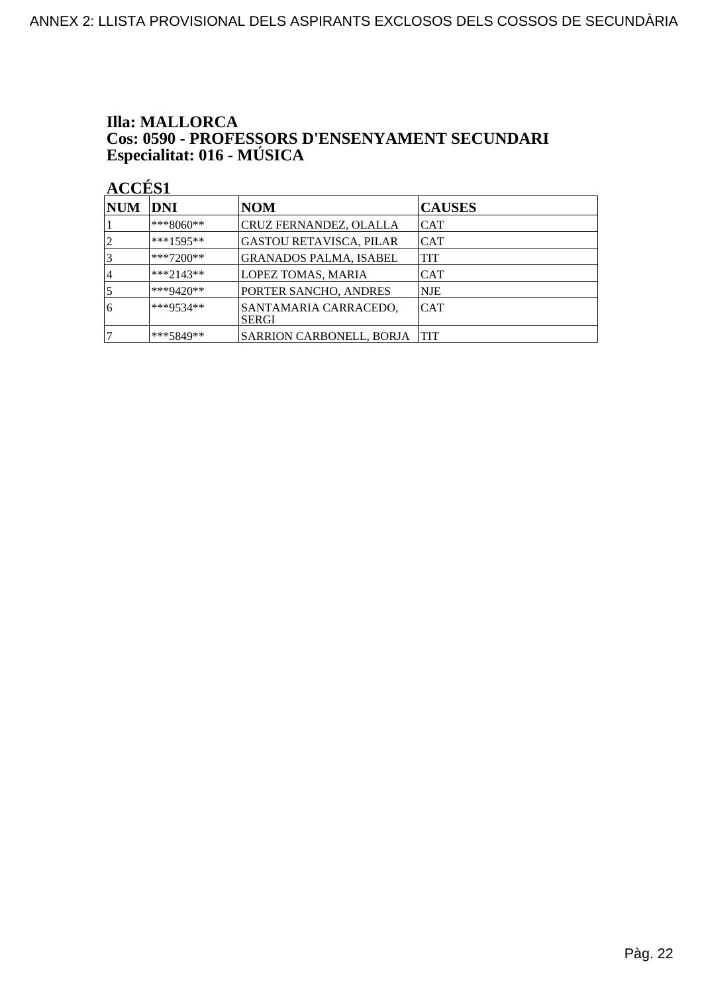### **Illa: MALLORCA Cos: 0590 - PROFESSORS D'ENSENYAMENT SECUNDARI<br>Especialitat: 016 - MÚSICA**

| <b>NUM</b> | DNI         | <b>NOM</b>                            | <b>CAUSES</b> |
|------------|-------------|---------------------------------------|---------------|
|            | ***8060**   | CRUZ FERNANDEZ, OLALLA                | ICAT          |
|            | $***1595**$ | GASTOU RETAVISCA, PILAR               | <b>CAT</b>    |
|            | $***7200**$ | <b>GRANADOS PALMA, ISABEL</b>         | TIT           |
| 4          | $***2143**$ | <b>LOPEZ TOMAS, MARIA</b>             | <b>CAT</b>    |
|            | ***9420**   | PORTER SANCHO, ANDRES                 | NJE           |
| 6          | ***9534**   | SANTAMARIA CARRACEDO,<br><b>SERGI</b> | <b>CAT</b>    |
|            | ***5849**   | SARRION CARBONELL, BORJA              | <b>TIT</b>    |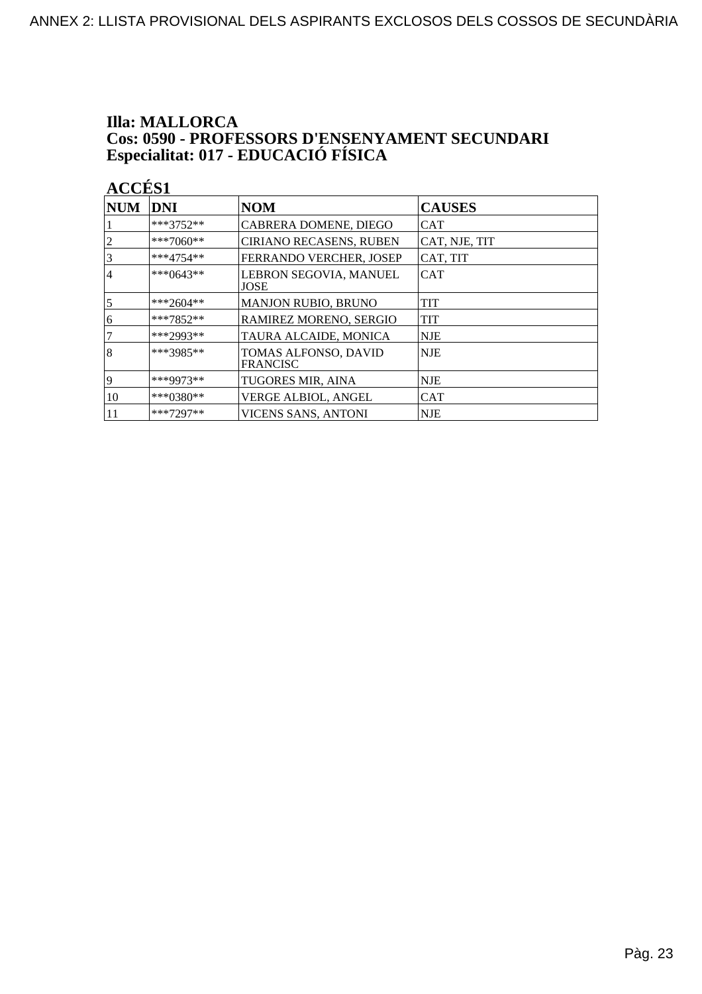# **Illa: MALLORCA Cos: 0590 - PROFESSORS D'ENSENYAMENT SECUNDARI<br>Especialitat: 017 - EDUCACIÓ FÍSICA**

| $\bf NUM$      | <b>DNI</b>  | <b>NOM</b>                              | <b>CAUSES</b> |
|----------------|-------------|-----------------------------------------|---------------|
|                | ***3752**   | CABRERA DOMENE, DIEGO                   | CAT           |
| 2              | ***7060**   | <b>CIRIANO RECASENS, RUBEN</b>          | CAT, NJE, TIT |
| 3              | $***4754**$ | FERRANDO VERCHER, JOSEP                 | CAT, TIT      |
| 4              | $***0643**$ | LEBRON SEGOVIA, MANUEL<br>JOSE          | <b>CAT</b>    |
| $\overline{5}$ | ***2604**   | <b>MANJON RUBIO, BRUNO</b>              | TIT           |
| 6              | ***7852**   | RAMIREZ MORENO, SERGIO                  | <b>TIT</b>    |
| 7              | ***2993**   | TAURA ALCAIDE, MONICA                   | <b>NJE</b>    |
| 8              | ***3985**   | TOMAS ALFONSO, DAVID<br><b>FRANCISC</b> | <b>NJE</b>    |
| 19             | ***9973**   | TUGORES MIR, AINA                       | NJE           |
| 10             | $***0380**$ | VERGE ALBIOL, ANGEL                     | <b>CAT</b>    |
| 11             | $***7297**$ | VICENS SANS, ANTONI                     | <b>NJE</b>    |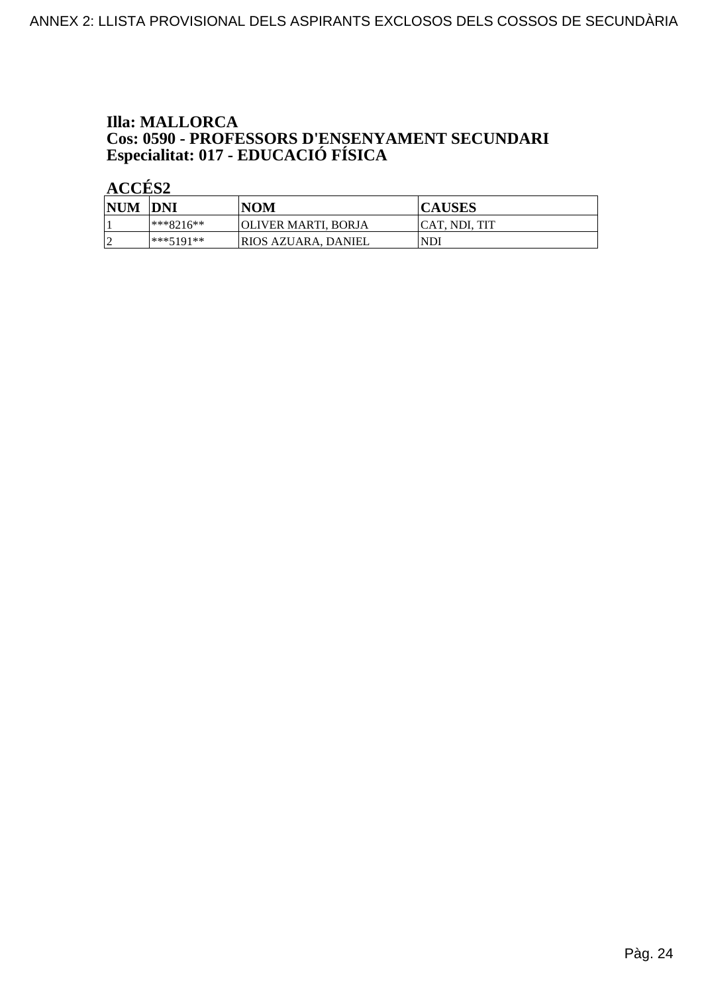### **Illa: MALLORCA** Cos: 0590 - PROFESSORS D'ENSENYAMENT SECUNDARI<br>Especialitat: 017 - EDUCACIÓ FÍSICA

| <b>NUM</b> | <b>DNI</b> | <b>NOM</b>                  | <b>CAUSES</b> |
|------------|------------|-----------------------------|---------------|
|            | ***8216**  | <b>JOLIVER MARTI, BORJA</b> | CAT. NDI. TIT |
|            | ***5191**  | <b>IRIOS AZUARA. DANIEL</b> | NDI           |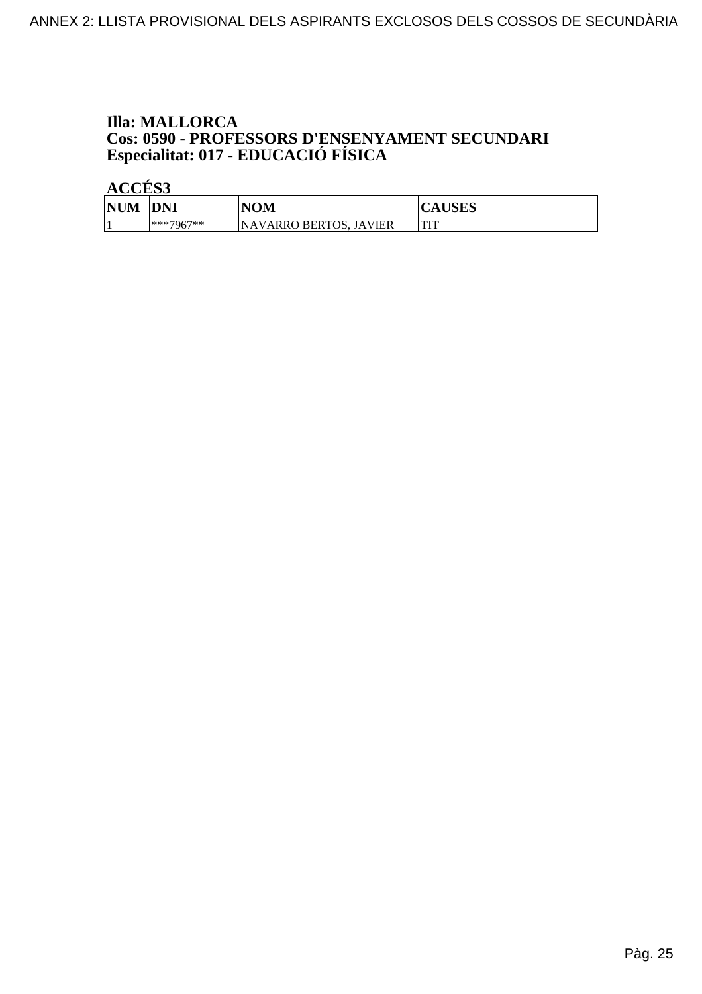# **Illa: MALLORCA Cos: 0590 - PROFESSORS D'ENSENYAMENT SECUNDARI<br>Especialitat: 017 - EDUCACIÓ FÍSICA**

| <b>NUM</b> | <b>DNI</b>   | <b>NOM</b>                    | <b>CAUSES</b> |
|------------|--------------|-------------------------------|---------------|
|            | $ ***7967**$ | <b>NAVARRO BERTOS, JAVIER</b> | TIT<br>       |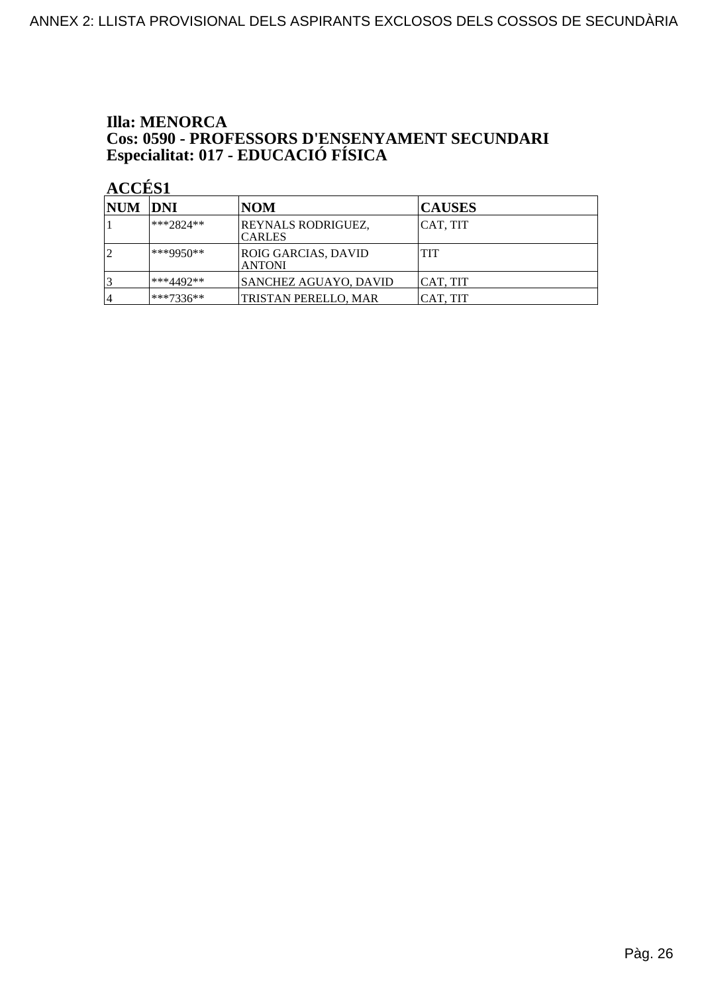# **Illa: MENORCA Cos: 0590 - PROFESSORS D'ENSENYAMENT SECUNDARI<br>Especialitat: 017 - EDUCACIÓ FÍSICA**

| NUM DNI |             | NOM                                  | <b>CAUSES</b> |
|---------|-------------|--------------------------------------|---------------|
|         | $***2824**$ | REYNALS RODRIGUEZ,<br><b>CARLES</b>  | CAT, TIT      |
|         | ***9950**   | ROIG GARCIAS, DAVID<br><b>ANTONI</b> | TIT           |
|         | ***4492**   | <b>SANCHEZ AGUAYO, DAVID</b>         | ICAT. TIT     |
| 4       | ***7336**   | TRISTAN PERELLO, MAR                 | ICAT. TIT     |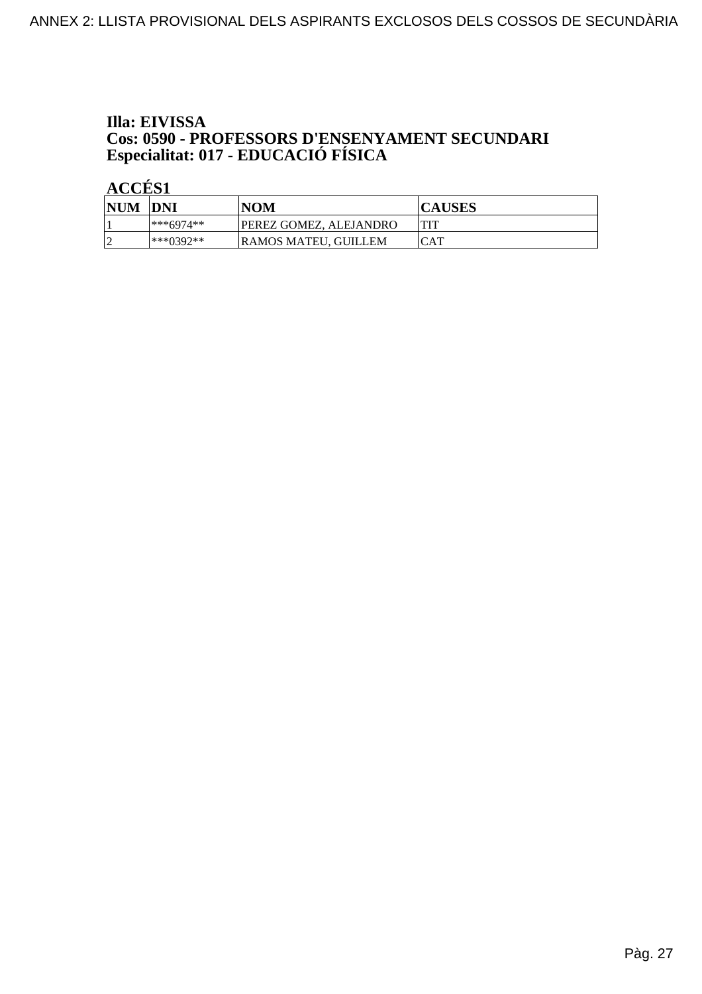### Illa: EIVISSA **Cos: 0590 - PROFESSORS D'ENSENYAMENT SECUNDARI<br>Especialitat: 017 - EDUCACIÓ FÍSICA**

| <b>NUM</b>  | <b>DNI</b>  | <b>NOM</b>             | <b>CAUSES</b> |
|-------------|-------------|------------------------|---------------|
|             | $***6974**$ | PEREZ GOMEZ, ALEJANDRO | TIT           |
| $\sim$<br>∼ | $***0392**$ | RAMOS MATEU. GUILLEM   | CAT           |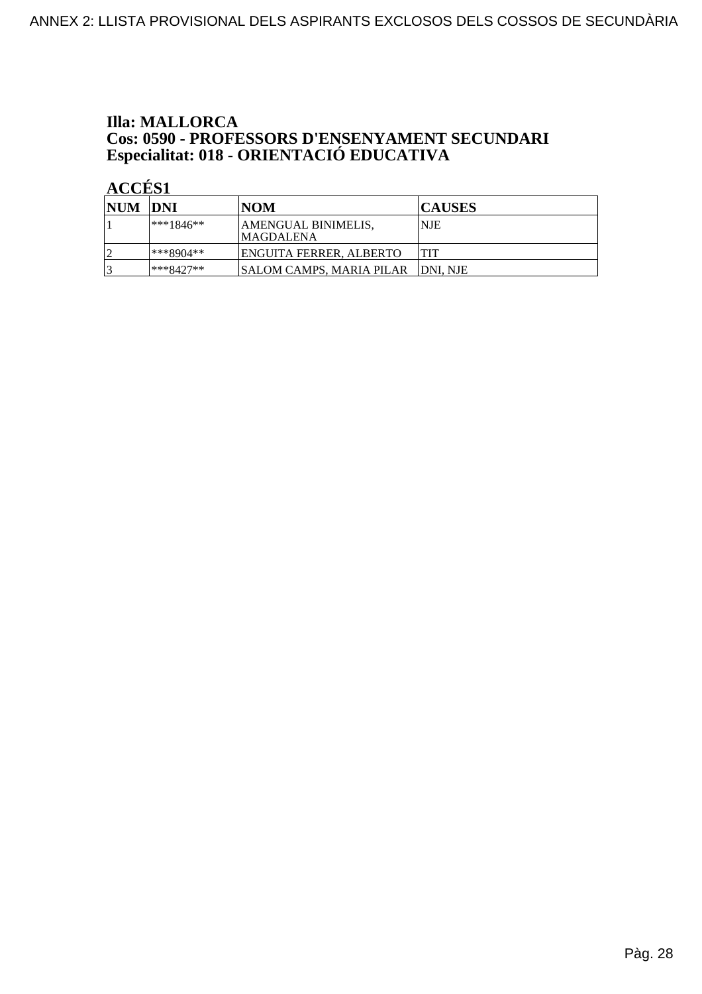### **Illa: MALLORCA Cos: 0590 - PROFESSORS D'ENSENYAMENT SECUNDARI<br>Especialitat: 018 - ORIENTACIÓ EDUCATIVA**

| NUM DNI   |             | NOM                                      | <b>CAUSES</b> |
|-----------|-------------|------------------------------------------|---------------|
|           | $***1846**$ | AMENGUAL BINIMELIS,<br><b>IMAGDALENA</b> | <b>NJE</b>    |
| $\bigcap$ | ***8904**   | IENGUITA FERRER. ALBERTO                 | <b>TIT</b>    |
| ₽         | ***8427**   | ISALOM CAMPS. MARIA PILAR–               | IDNI. NJE     |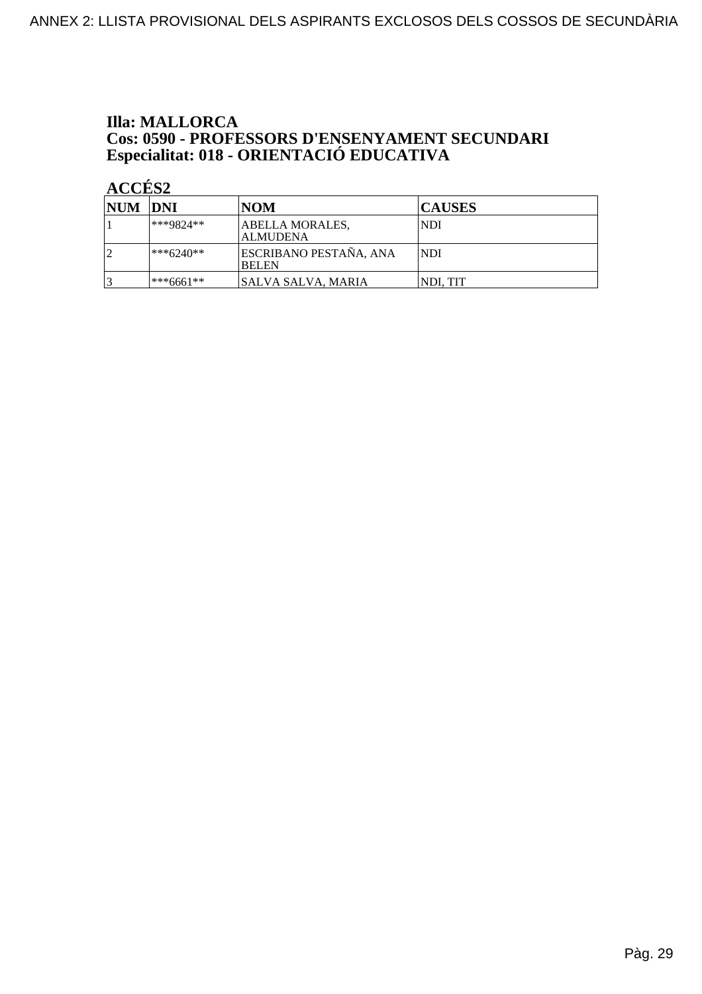### **Illa: MALLORCA Cos: 0590 - PROFESSORS D'ENSENYAMENT SECUNDARI<br>Especialitat: 018 - ORIENTACIÓ EDUCATIVA**

| <b>NUM DNI</b> |              | NOM                                           | <b>CAUSES</b> |
|----------------|--------------|-----------------------------------------------|---------------|
|                | ***9824**    | ABELLA MORALES.<br><b>ALMUDENA</b>            | NDI           |
|                | $ ***6240**$ | <b>ESCRIBANO PESTAÑA, ANA</b><br><b>BELEN</b> | NDI           |
|                | l***6661**   | SALVA SALVA, MARIA                            | NDI, TIT      |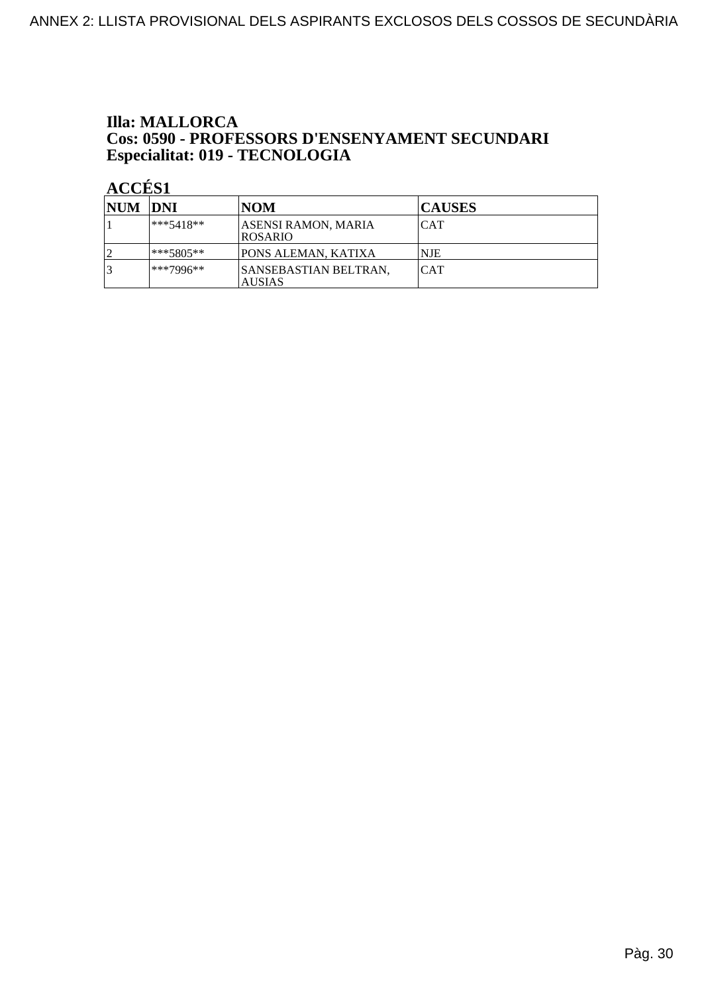### **Illa: MALLORCA Cos: 0590 - PROFESSORS D'ENSENYAMENT SECUNDARI<br>Especialitat: 019 - TECNOLOGIA**

| <b>NUM DNI</b> |              | <b>NOM</b>                                    | <b>CAUSES</b> |
|----------------|--------------|-----------------------------------------------|---------------|
|                | $ ***5418**$ | ASENSI RAMON, MARIA<br><b>IROSARIO</b>        | <b>CAT</b>    |
|                | ***5805**    | PONS ALEMAN, KATIXA                           | <b>NJE</b>    |
|                | ***7996**    | <b>SANSEBASTIAN BELTRAN,</b><br><b>AUSIAS</b> | <b>CAT</b>    |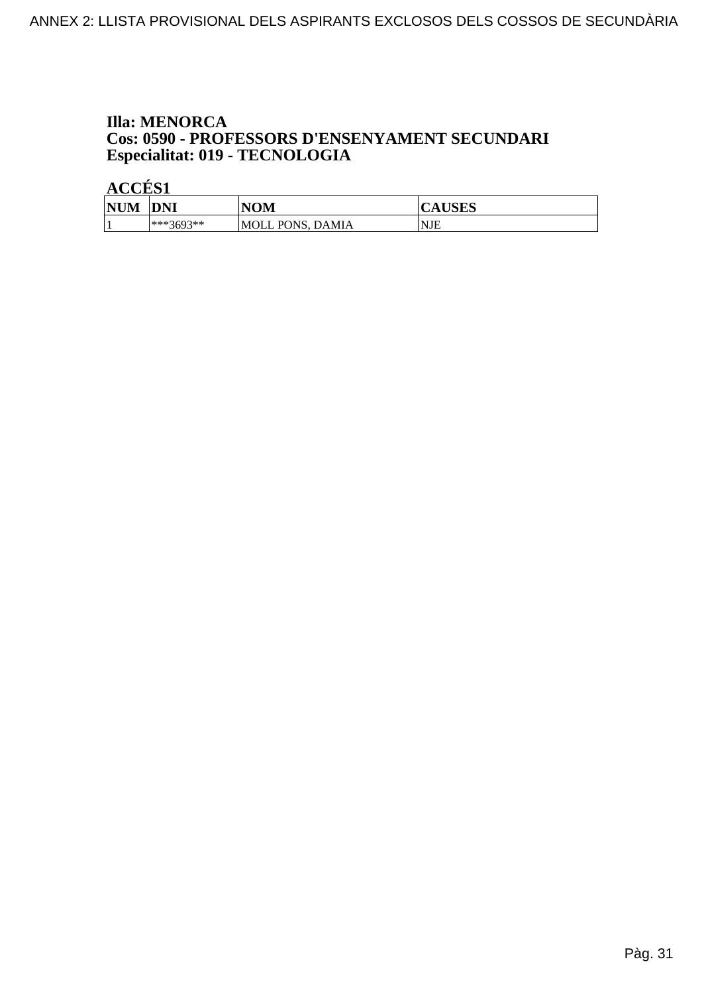#### **Illa: MENORCA** Cos: 0590 - PROFESSORS D'ENSENYAMENT SECUNDARI Especialitat: 019 - TECNOLOGIA

| <b>NUM</b> | <b>DNI</b> | NOM                             | LIGITO<br>Δ<br><b>AUSES</b> |
|------------|------------|---------------------------------|-----------------------------|
|            | ***3693**  | PONS.<br>DAMIA<br><b>MOLL P</b> | <b>NJE</b>                  |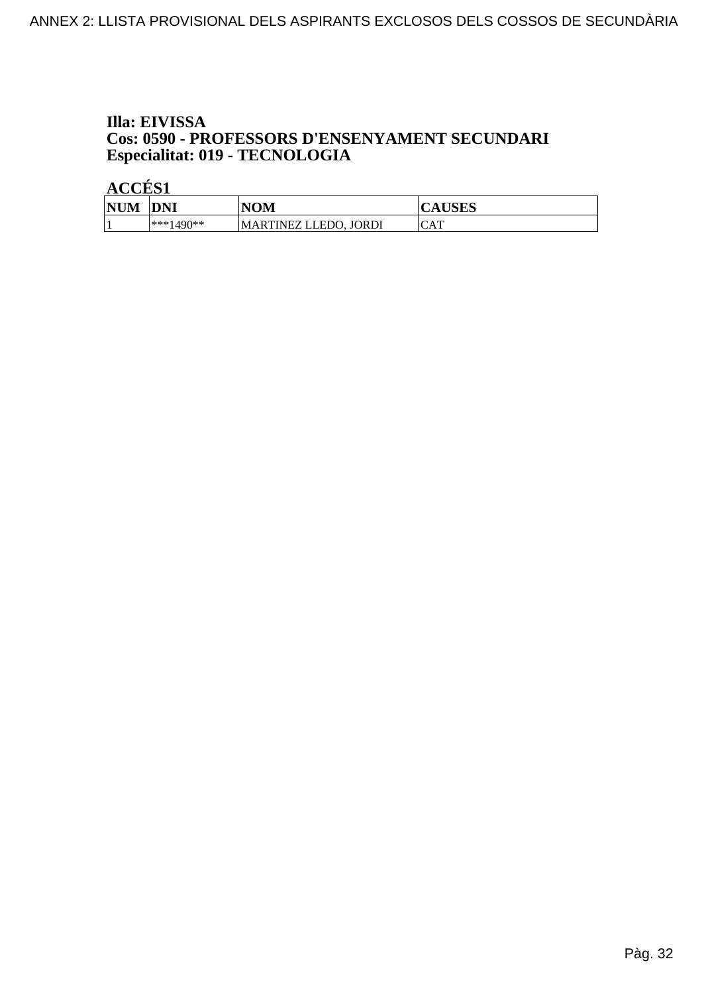#### Illa: EIVISSA **Cos: 0590 - PROFESSORS D'ENSENYAMENT SECUNDARI** Especialitat: 019 - TECNOLOGIA

| <b>NUM</b> | <b>DNI</b>   | NOM                      | <b>CAUSES</b> |
|------------|--------------|--------------------------|---------------|
|            | $ ***1490**$ | MARTINEZ LLEDO.<br>JORDI | CAT           |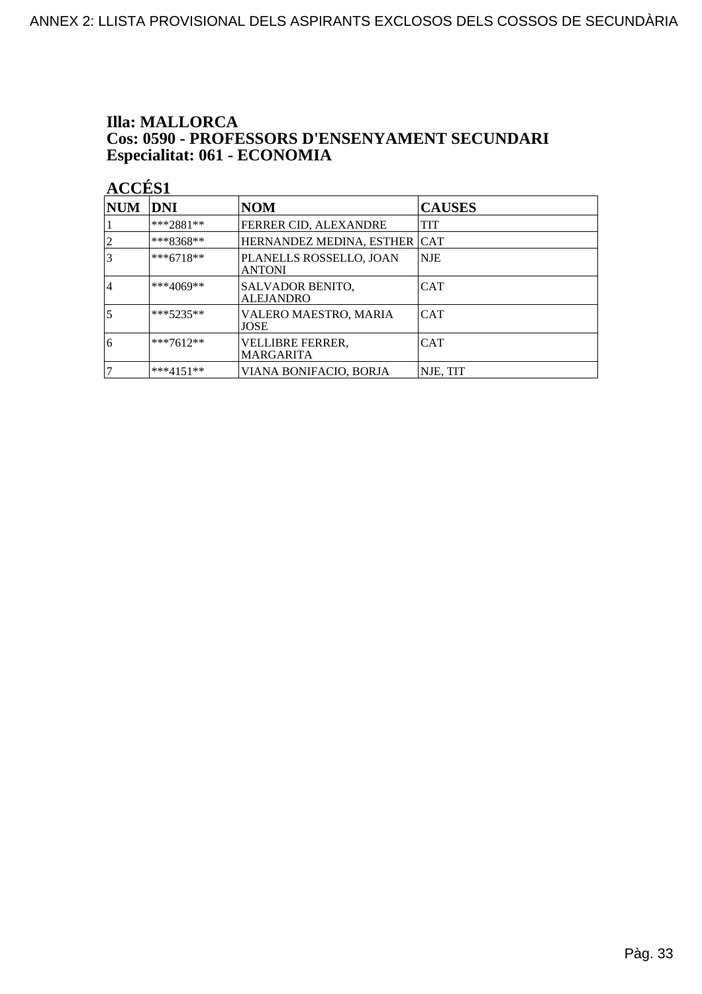#### **Illa: MALLORCA** Cos: 0590 - PROFESSORS D'ENSENYAMENT SECUNDARI Especialitat: 061 - ECONOMIA

| <b>NUM</b>     | DNI         | <b>NOM</b>                               | <b>CAUSES</b> |
|----------------|-------------|------------------------------------------|---------------|
|                | $***2881**$ | FERRER CID, ALEXANDRE                    | TIT           |
|                | ***8368**   | HERNANDEZ MEDINA, ESTHER                 | <b>ICAT</b>   |
|                | $***6718**$ | PLANELLS ROSSELLO, JOAN<br><b>ANTONI</b> | NJE           |
| $\overline{4}$ | ***4069**   | SALVADOR BENITO,<br><b>ALEJANDRO</b>     | <b>CAT</b>    |
| 5              | $***5235**$ | VALERO MAESTRO, MARIA<br>JOSE            | <b>CAT</b>    |
| 6              | $***7612**$ | VELLIBRE FERRER,<br><b>MARGARITA</b>     | CAT           |
|                | $***4151**$ | VIANA BONIFACIO, BORJA                   | NJE, TIT      |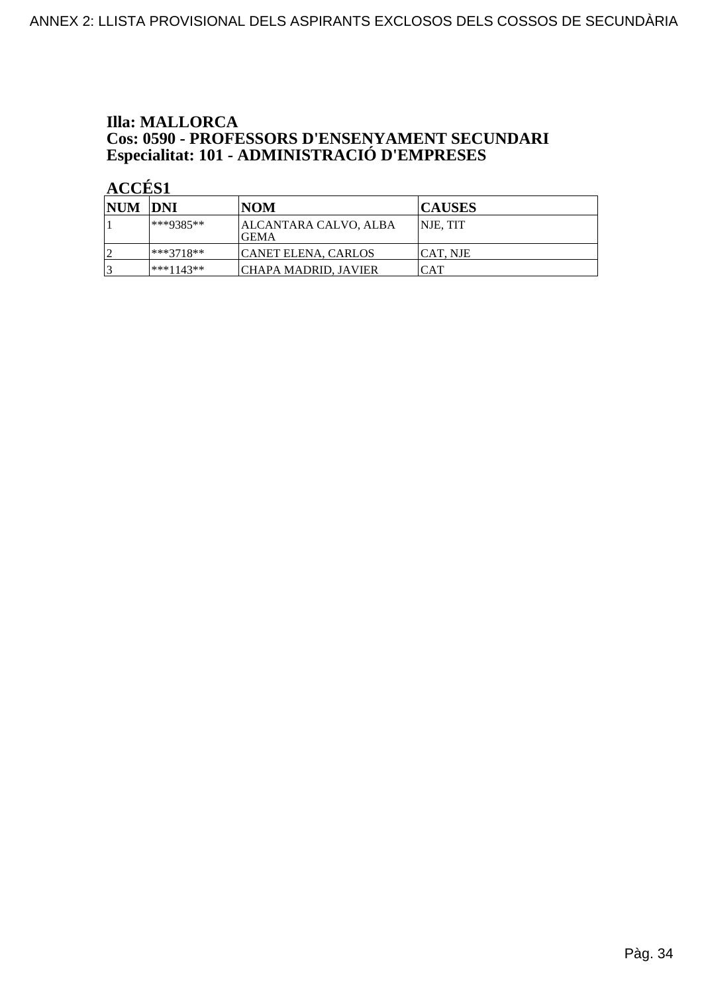### **Illa: MALLORCA Cos: 0590 - PROFESSORS D'ENSENYAMENT SECUNDARI<br>Especialitat: 101 - ADMINISTRACIÓ D'EMPRESES**

| NUM DNI |             | INOM                                  | <b>CAUSES</b>   |
|---------|-------------|---------------------------------------|-----------------|
|         | $**9385**$  | <b>ALCANTARA CALVO, ALBA</b><br>IGEMA | <b>NJE. TIT</b> |
|         | ***3718**   | <b>CANET ELENA, CARLOS</b>            | ICAT. NJE       |
|         | $***1143**$ | <b>CHAPA MADRID, JAVIER</b>           | <b>CAT</b>      |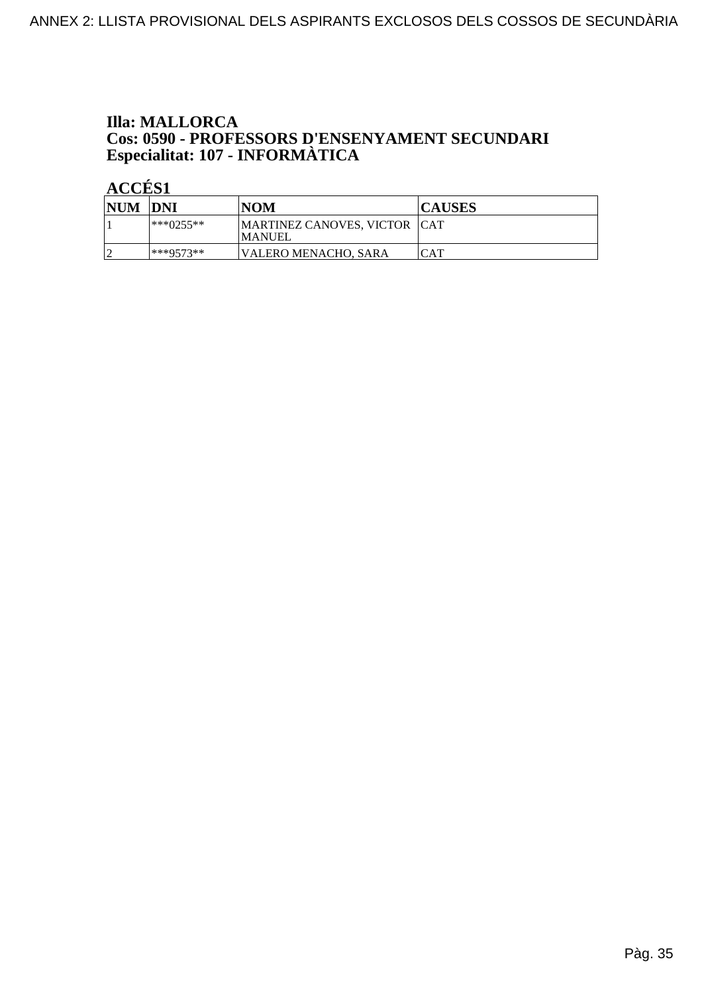### **Illa: MALLORCA Cos: 0590 - PROFESSORS D'ENSENYAMENT SECUNDARI<br>Especialitat: 107 - INFORMÀTICA**

| NUM DNI |              | <b>NOM</b>                                      | <b>CAUSES</b> |
|---------|--------------|-------------------------------------------------|---------------|
|         | $ ***0255**$ | MARTINEZ CANOVES, VICTOR   CAT<br><b>MANUEL</b> |               |
|         | $***9573**$  | VALERO MENACHO, SARA                            | CAT           |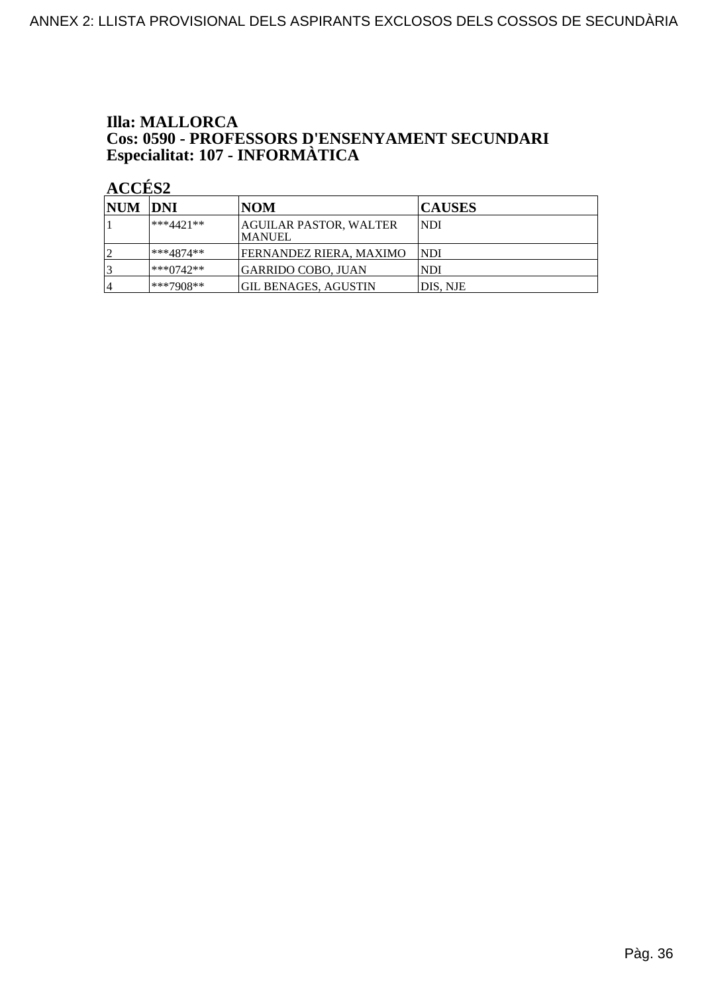### **Illa: MALLORCA Cos: 0590 - PROFESSORS D'ENSENYAMENT SECUNDARI<br>Especialitat: 107 - INFORMÀTICA**

| <b>NUM DNI</b> |             | NOM                                      | <b>CAUSES</b> |
|----------------|-------------|------------------------------------------|---------------|
|                | $***4421**$ | AGUILAR PASTOR, WALTER<br><b> MANUEL</b> | INDI          |
|                | ***4874**   | FERNANDEZ RIERA. MAXIMO                  | INDI          |
|                | $***0742**$ | GARRIDO COBO, JUAN                       | <b>NDI</b>    |
| <sub>1</sub> 4 | ***7908**   | GIL BENAGES, AGUSTIN                     | DIS, NJE      |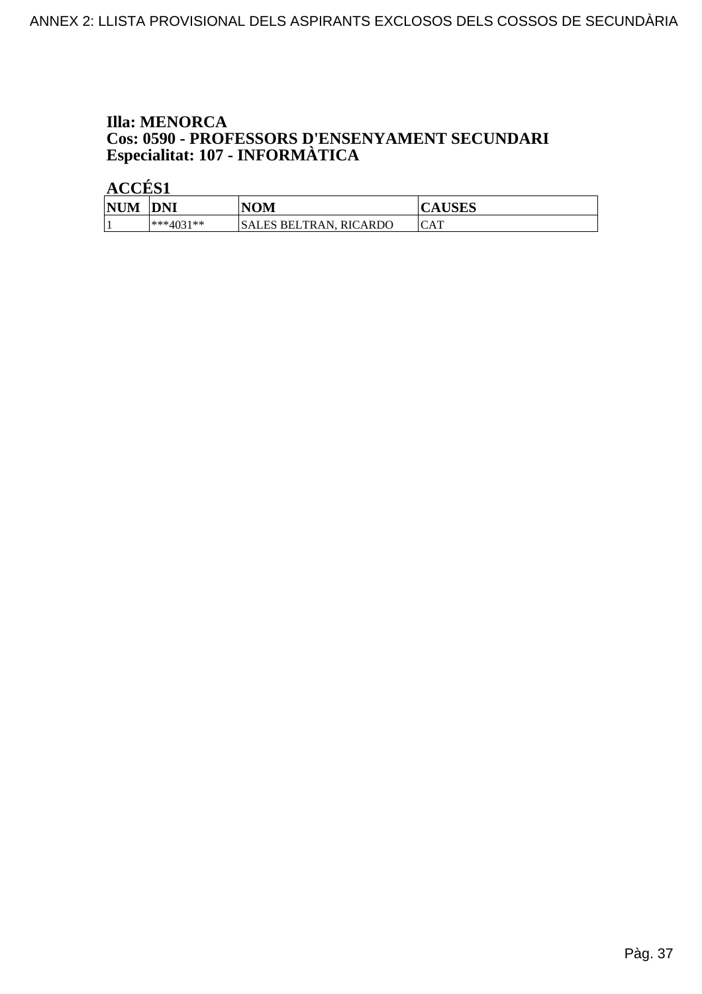#### **Illa: MENORCA** Cos: 0590 - PROFESSORS D'ENSENYAMENT SECUNDARI Especialitat: 107 - INFORMÀTICA

| <b>NUM</b> | <b>DNI</b>      | <b>NOM</b>                     | $T$ CITC $\sim$<br>AUSLS |
|------------|-----------------|--------------------------------|--------------------------|
|            | $*^{***}4031**$ | SALES BELTRAN.<br>RIC<br>CARDO | CAT                      |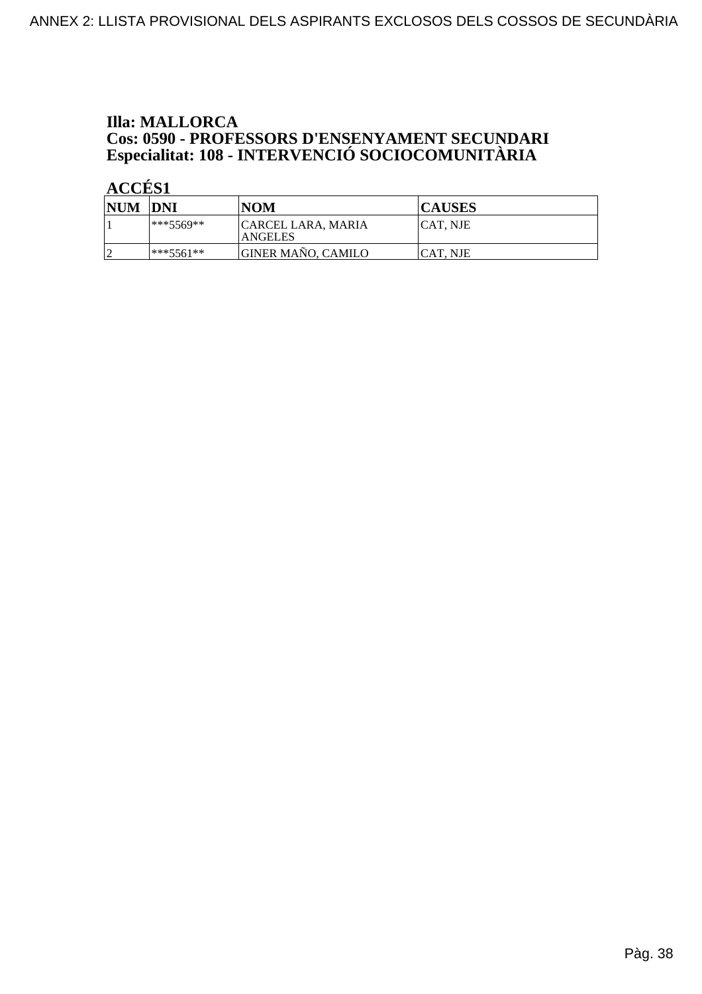### **Illa: MALLORCA Cos: 0590 - PROFESSORS D'ENSENYAMENT SECUNDARI<br>Especialitat: 108 - INTERVENCIÓ SOCIOCOMUNITÀRIA**

| NUM DNI |             | <b>NOM</b>                                  | <b>CAUSES</b> |
|---------|-------------|---------------------------------------------|---------------|
|         | $***5569**$ | <b>CARCEL LARA, MARIA</b><br><b>ANGELES</b> | ICAT. NJE     |
|         | ***5561**   | <b>GINER MAÑO, CAMILO</b>                   | ICAT. NJE     |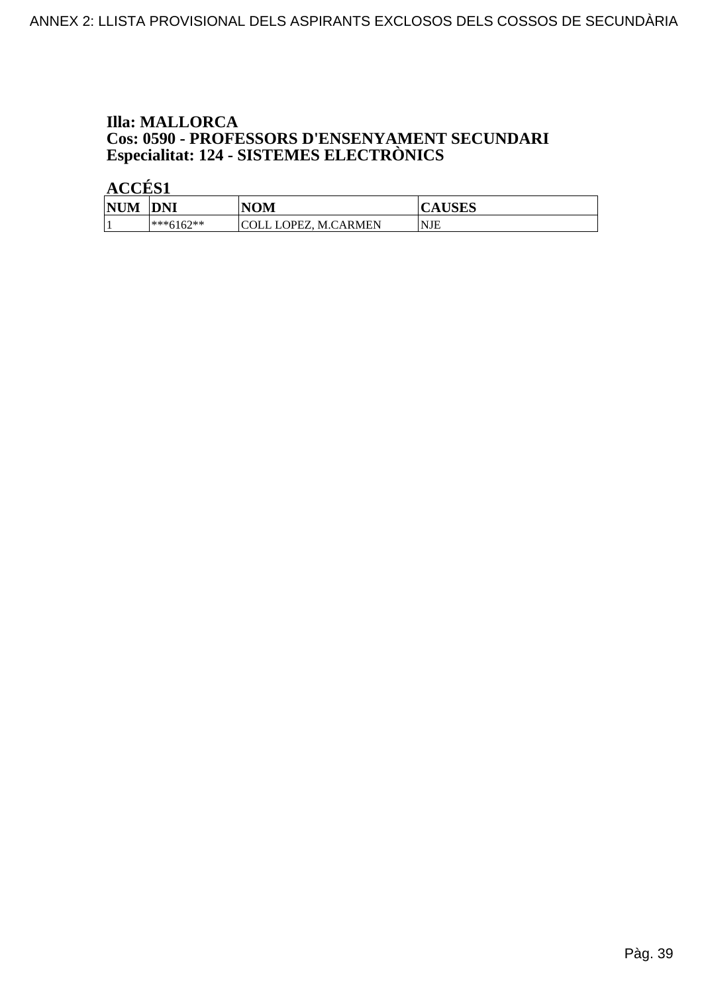### **Illa: MALLORCA Cos: 0590 - PROFESSORS D'ENSENYAMENT SECUNDARI<br>Especialitat: 124 - SISTEMES ELECTRÒNICS**

| <b>NUM</b> | <b>DNI</b>  | NOM                      | IICIDO<br><b>LAUSES</b> |
|------------|-------------|--------------------------|-------------------------|
|            | $***6162**$ | <b>M.CARMEN</b><br>JPEZ. | <b>NJE</b>              |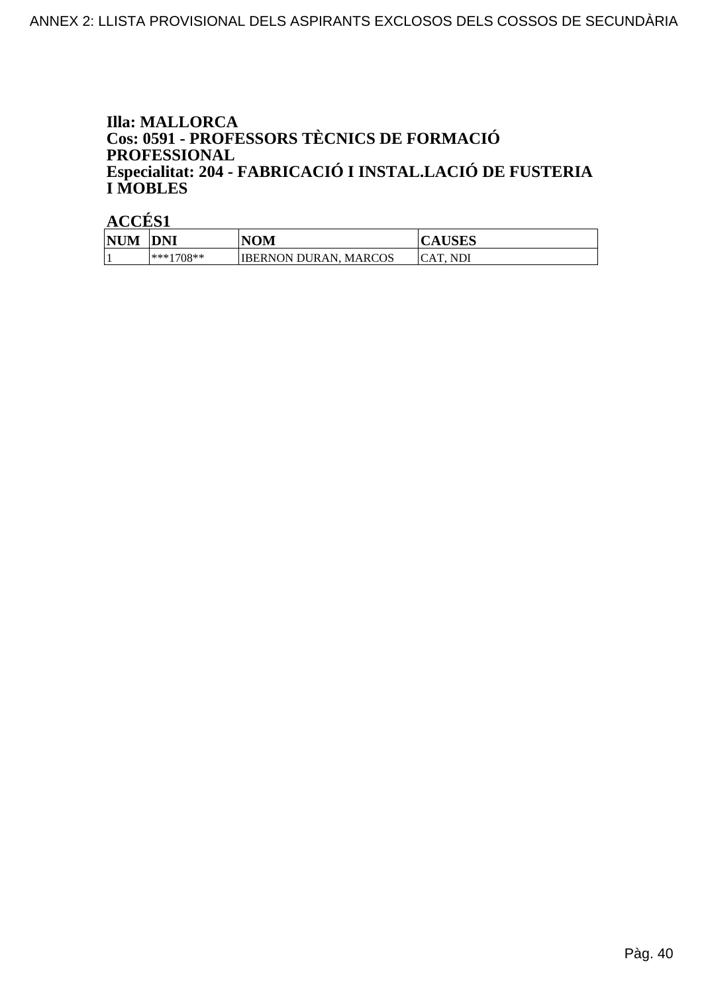#### **Illa: MALLORCA** Cos: 0591 - PROFESSORS TÈCNICS DE FORMACIÓ **PROFESSIONAL** Especialitat: 204 - FABRICACIÓ I INSTAL.LACIÓ DE FUSTERIA **I MOBLES**

| <b>NUM</b> | <b>DNI</b>   | <b>NOM</b>                  | <b>CAUSES</b>            |
|------------|--------------|-----------------------------|--------------------------|
|            | $ ***1708**$ | IIBERNON DURAN.<br>. MARCOS | <b>NDI</b><br><b>CAT</b> |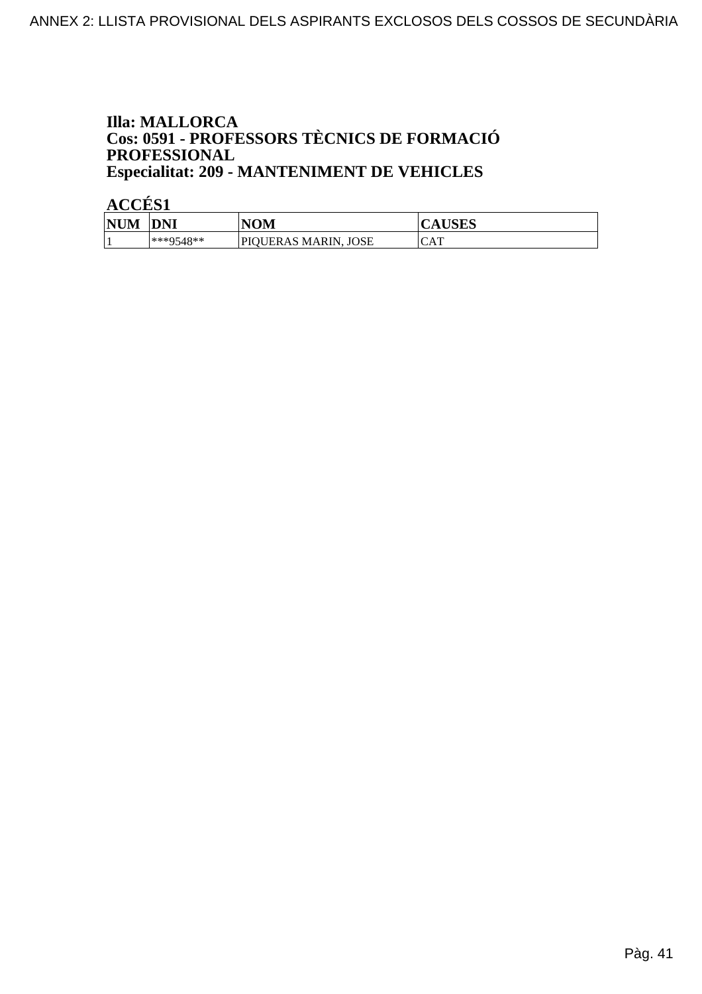#### **Illa: MALLORCA** Cos: 0591 - PROFESSORS TÈCNICS DE FORMACIÓ PROFESSIONAL **Especialitat: 209 - MANTENIMENT DE VEHICLES**

| <b>NUM</b> | DNI       | NOM                     | AUSLS      |
|------------|-----------|-------------------------|------------|
|            | ***9548** | JOSE<br>PIOUERAS MARIN. | <b>CAT</b> |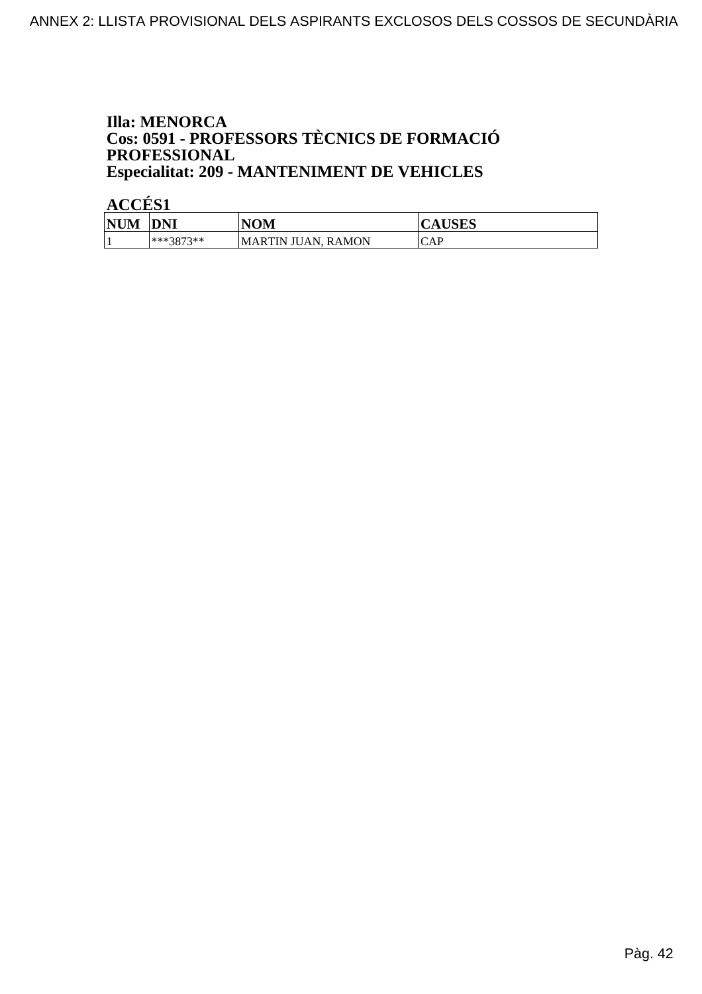#### **Illa: MENORCA** Cos: 0591 - PROFESSORS TÈCNICS DE FORMACIÓ PROFESSIONAL **Especialitat: 209 - MANTENIMENT DE VEHICLES**

| <b>NUM</b> | DNI       | VOM                          | LIGEC<br>Δ<br>$\sim$ $\sim$ $\sim$ $\sim$ $\sim$ $\sim$ $\sim$ |
|------------|-----------|------------------------------|----------------------------------------------------------------|
|            | ***3873** | . RAMON<br>ΆN<br>-MARTIN JU. | CAP                                                            |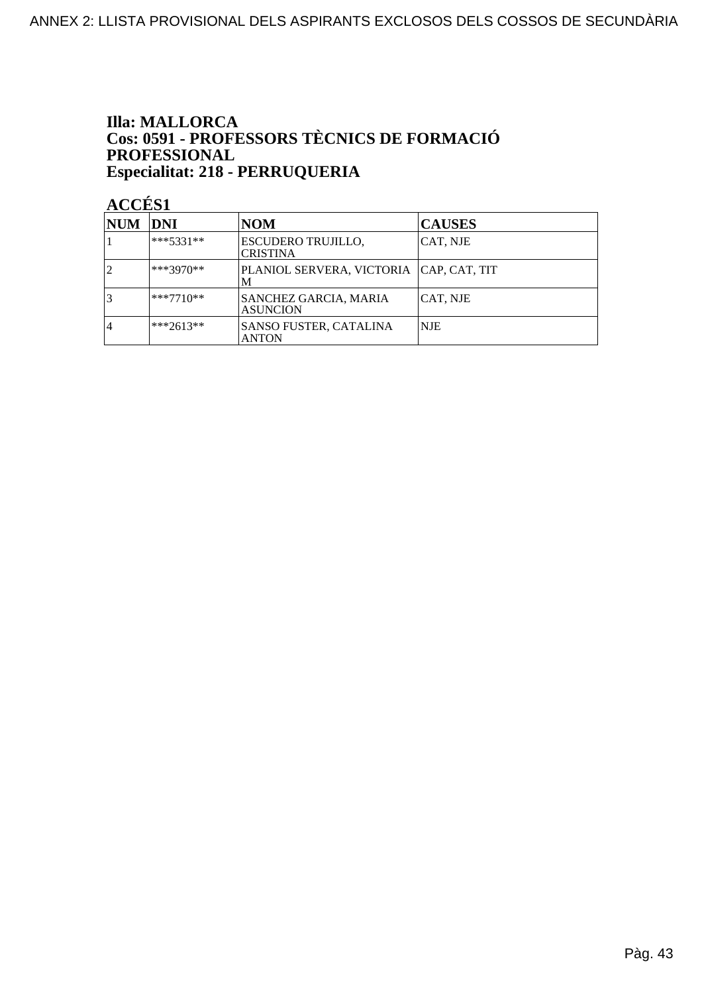#### **Illa: MALLORCA Cos: 0591 - PROFESSORS TÈCNICS DE FORMACIÓ<br>PROFESSIONAL** Especialitat: 218 - PERRUQUERIA

| NUM            | <b>DNI</b>  | <b>NOM</b>                                      | <b>CAUSES</b> |
|----------------|-------------|-------------------------------------------------|---------------|
|                | ***5331**   | <b>ESCUDERO TRUJILLO,</b><br><b>CRISTINA</b>    | CAT, NJE      |
|                | ***3970**   | PLANIOL SERVERA, VICTORIA   CAP, CAT, TIT<br>M  |               |
|                | $***7710**$ | <b>SANCHEZ GARCIA, MARIA</b><br><b>ASUNCION</b> | CAT, NJE      |
| $\overline{4}$ | $***2613**$ | <b>SANSO FUSTER, CATALINA</b><br><b>ANTON</b>   | <b>NJE</b>    |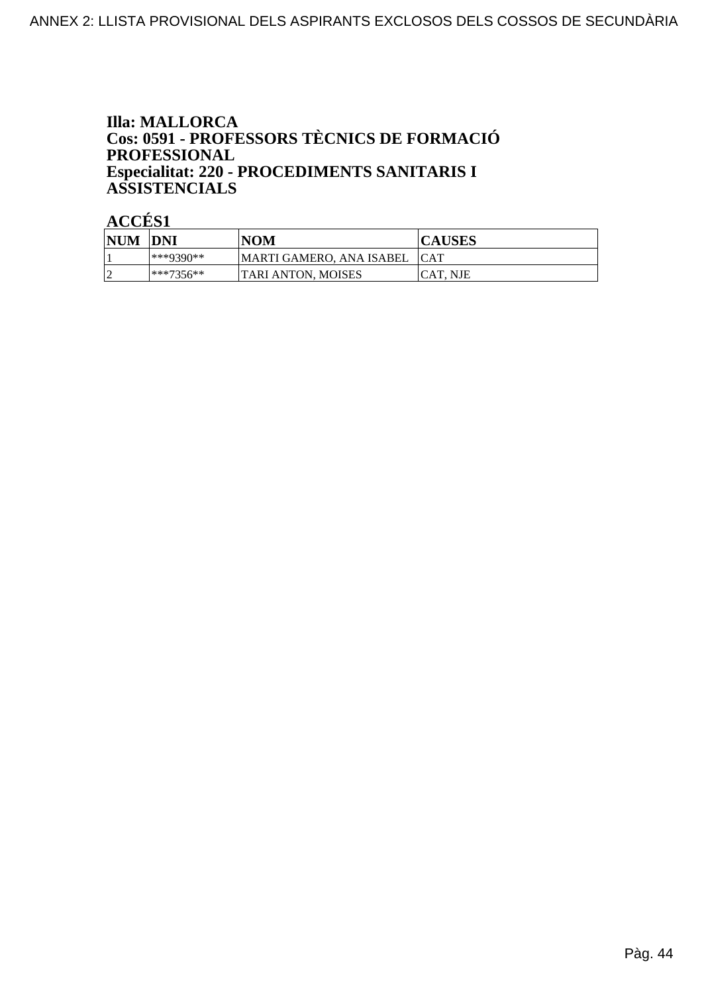#### **Illa: MALLORCA** Cos: 0591 - PROFESSORS TÈCNICS DE FORMACIÓ **PROFESSIONAL** Especialitat: 220 - PROCEDIMENTS SANITARIS I **ASSISTENCIALS**

| <b>NUM</b> | <b>DNI</b>  | NOM                      | <b>CAUSES</b> |
|------------|-------------|--------------------------|---------------|
|            | ***9390**   | MARTI GAMERO. ANA ISABEL | <b>ICAT</b>   |
|            | $***7356**$ | ITARI ANTON. MOISES      | ICAT. NJE     |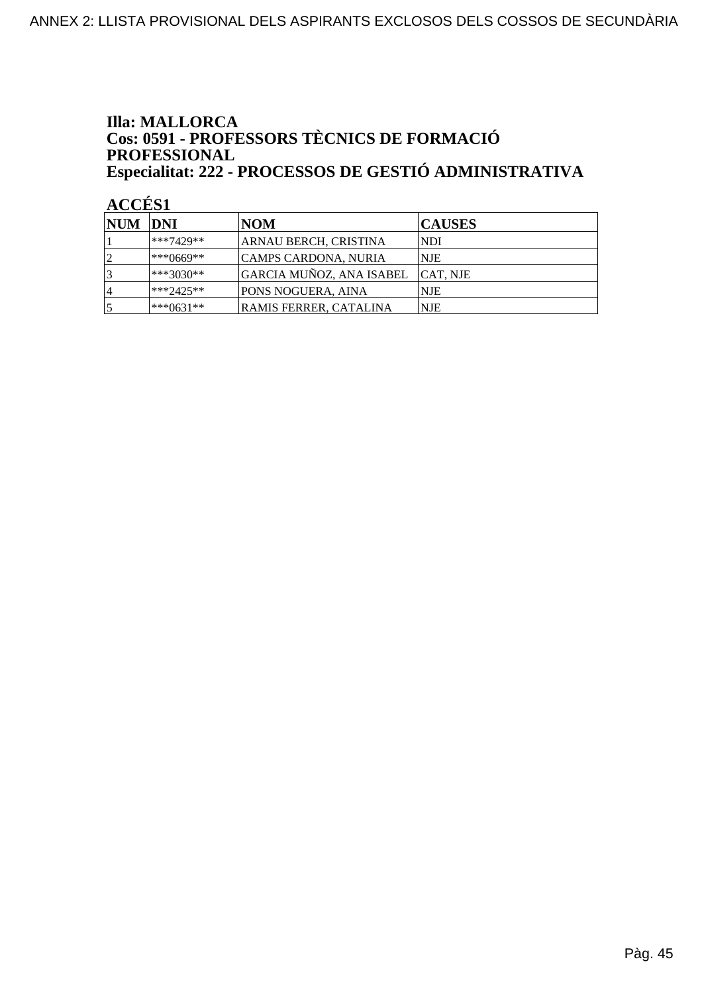#### **Illa: MALLORCA** Cos: 0591 - PROFESSORS TÈCNICS DE FORMACIÓ PROFESSIONAL Especialitat: 222 - PROCESSOS DE GESTIÓ ADMINISTRATIVA

| <b>NUM DNI</b> |                | NOM                      | <b>CAUSES</b> |
|----------------|----------------|--------------------------|---------------|
|                | $**7429**$     | ARNAU BERCH, CRISTINA    | NDI           |
|                | $*^{**0669**}$ | CAMPS CARDONA, NURIA     | NJE           |
|                | $*$ **3030**   | GARCIA MUÑOZ, ANA ISABEL | ICAT. NJE     |
|                | $**2425**$     | PONS NOGUERA, AINA       | <b>NJE</b>    |
|                | ***0631**      | RAMIS FERRER, CATALINA   | NJE           |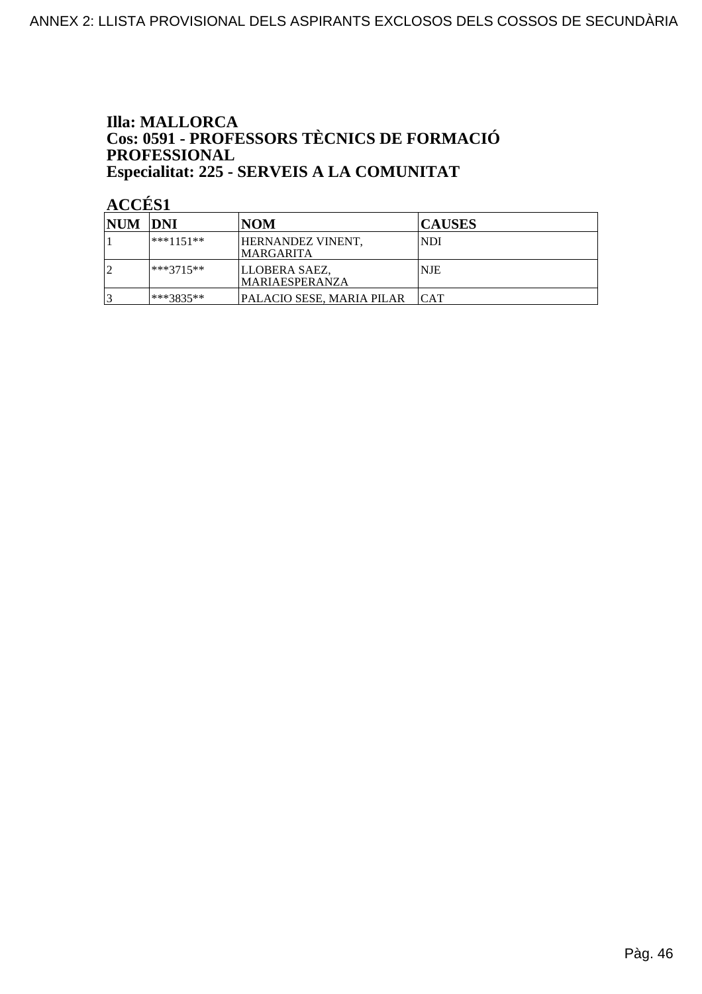#### **Illa: MALLORCA** Cos: 0591 - PROFESSORS TÈCNICS DE FORMACIÓ **PROFESSIONAL** Especialitat: 225 - SERVEIS A LA COMUNITAT

| <b>NUM DNI</b> |             | <b>NOM</b>                       | <b>CAUSES</b> |
|----------------|-------------|----------------------------------|---------------|
|                | $***1151**$ | HERNANDEZ VINENT,<br>IMARGARITA  | NDI           |
|                | $***3715**$ | LLOBERA SAEZ,<br>IMARIAESPERANZA | <b>NJE</b>    |
|                | ***3835**   | PALACIO SESE, MARIA PILAR        | ICAT          |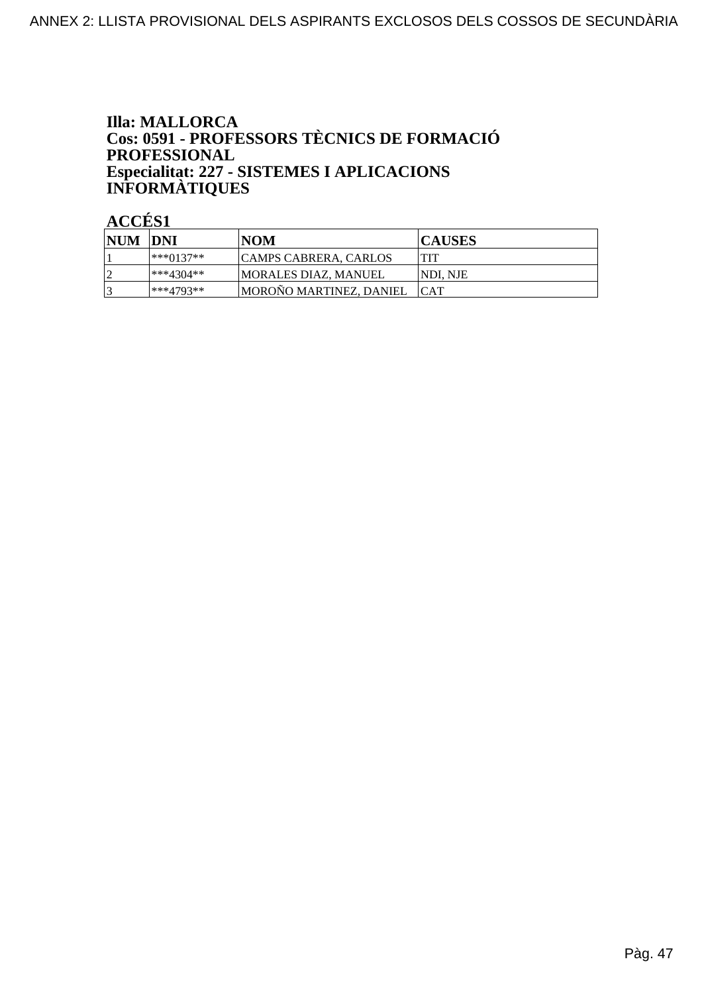#### **Illa: MALLORCA** Cos: 0591 - PROFESSORS TÈCNICS DE FORMACIÓ **PROFESSIONAL** Especialitat: 227 - SISTEMES I APLICACIONS<br>INFORMÀTIQUES

| <b>NUM</b> | <b>DNI</b> | NOM                          | <b>CAUSES</b> |
|------------|------------|------------------------------|---------------|
|            | ***0137**  | <b>CAMPS CABRERA, CARLOS</b> | TIT           |
|            | ***4304**  | IMORALES DIAZ. MANUEL        | INDI. NJE     |
|            | ***4793**  | MOROÑO MARTINEZ, DANIEL      | <b>ICAT</b>   |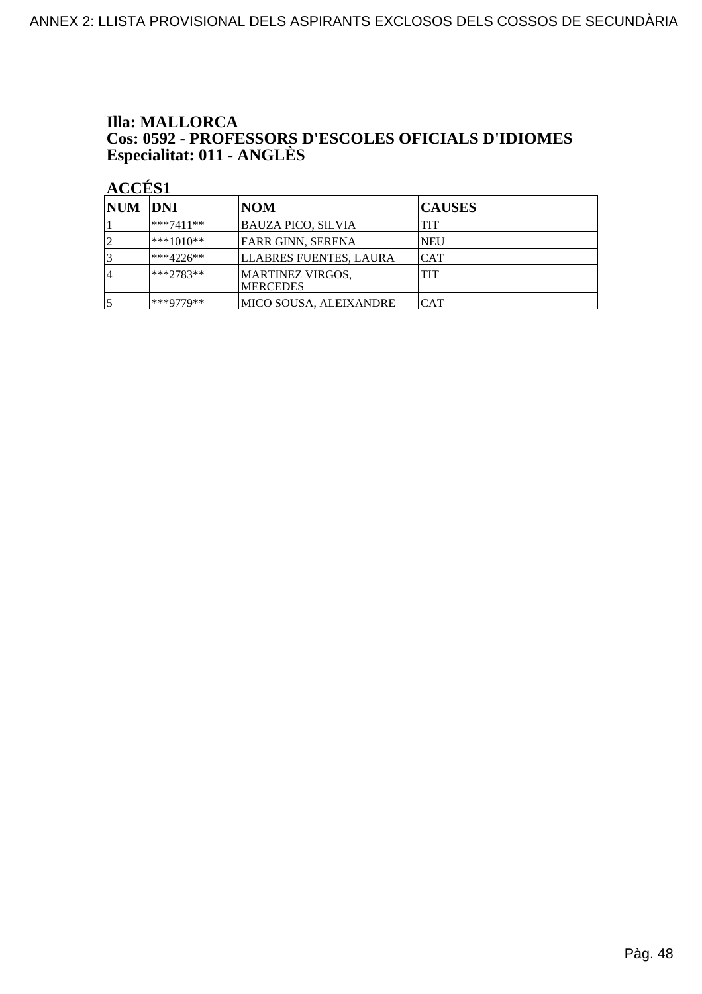### **Illa: MALLORCA** Cos: 0592 - PROFESSORS D'ESCOLES OFICIALS D'IDIOMES<br>Especialitat: 011 - ANGLÈS

| NUM DNI         |              | <b>NOM</b>                           | <b>CAUSES</b> |
|-----------------|--------------|--------------------------------------|---------------|
|                 | $***7411**$  | BAUZA PICO, SILVIA                   | <b>TIT</b>    |
| $\overline{2}$  | $ ***1010**$ | <b>FARR GINN, SERENA</b>             | <b>NEU</b>    |
| $\vert 3 \vert$ | $**4226**$   | LLABRES FUENTES, LAURA               | ICAT          |
| 14              | $***2783**$  | MARTINEZ VIRGOS,<br><b>IMERCEDES</b> | <b>TIT</b>    |
| 5               | ***9779**    | MICO SOUSA, ALEIXANDRE               | <b>CAT</b>    |